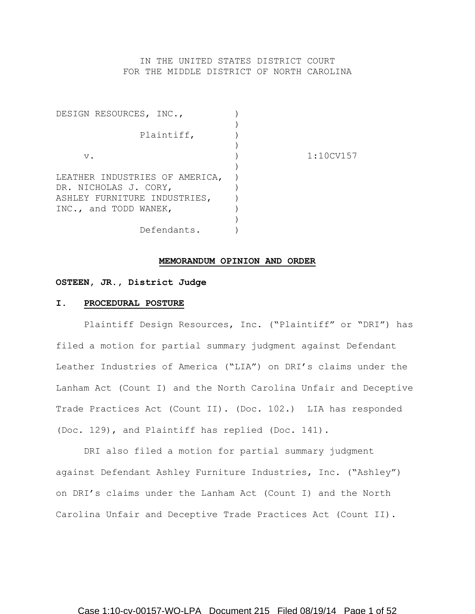IN THE UNITED STATES DISTRICT COURT FOR THE MIDDLE DISTRICT OF NORTH CAROLINA

| DESIGN RESOURCES, INC.,        |           |
|--------------------------------|-----------|
|                                |           |
| Plaintiff,                     |           |
|                                |           |
| $V$ .                          | 1:10CV157 |
|                                |           |
| LEATHER INDUSTRIES OF AMERICA, |           |
| DR. NICHOLAS J. CORY,          |           |
| ASHLEY FURNITURE INDUSTRIES,   |           |
| INC., and TODD WANEK,          |           |
|                                |           |
| Defendants.                    |           |

### **MEMORANDUM OPINION AND ORDER**

### **OSTEEN, JR., District Judge**

#### **I. PROCEDURAL POSTURE**

Plaintiff Design Resources, Inc. ("Plaintiff" or "DRI") has filed a motion for partial summary judgment against Defendant Leather Industries of America ("LIA") on DRI's claims under the Lanham Act (Count I) and the North Carolina Unfair and Deceptive Trade Practices Act (Count II). (Doc. 102.) LIA has responded (Doc. 129), and Plaintiff has replied (Doc. 141).

DRI also filed a motion for partial summary judgment against Defendant Ashley Furniture Industries, Inc. ("Ashley") on DRI's claims under the Lanham Act (Count I) and the North Carolina Unfair and Deceptive Trade Practices Act (Count II).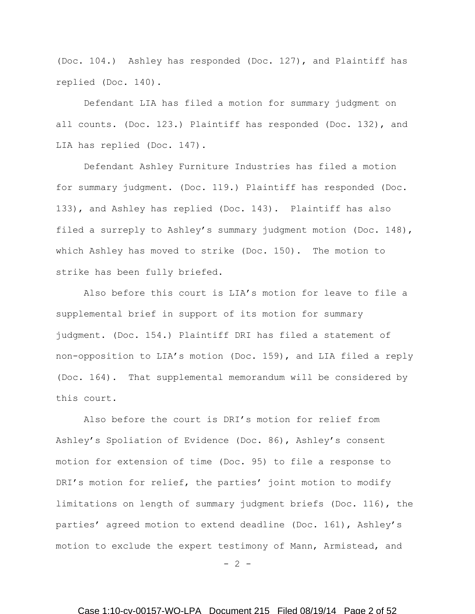(Doc. 104.) Ashley has responded (Doc. 127), and Plaintiff has replied (Doc. 140).

Defendant LIA has filed a motion for summary judgment on all counts. (Doc. 123.) Plaintiff has responded (Doc. 132), and LIA has replied (Doc. 147).

Defendant Ashley Furniture Industries has filed a motion for summary judgment. (Doc. 119.) Plaintiff has responded (Doc. 133), and Ashley has replied (Doc. 143). Plaintiff has also filed a surreply to Ashley's summary judgment motion (Doc. 148), which Ashley has moved to strike (Doc. 150). The motion to strike has been fully briefed.

Also before this court is LIA's motion for leave to file a supplemental brief in support of its motion for summary judgment. (Doc. 154.) Plaintiff DRI has filed a statement of non-opposition to LIA's motion (Doc. 159), and LIA filed a reply (Doc. 164). That supplemental memorandum will be considered by this court.

Also before the court is DRI's motion for relief from Ashley's Spoliation of Evidence (Doc. 86), Ashley's consent motion for extension of time (Doc. 95) to file a response to DRI's motion for relief, the parties' joint motion to modify limitations on length of summary judgment briefs (Doc. 116), the parties' agreed motion to extend deadline (Doc. 161), Ashley's motion to exclude the expert testimony of Mann, Armistead, and

 $- 2 -$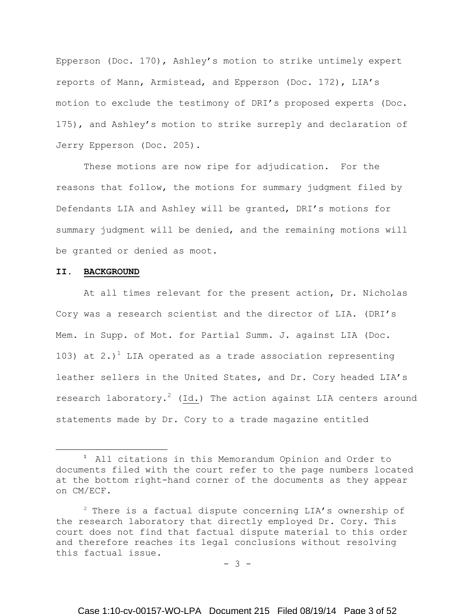Epperson (Doc. 170), Ashley's motion to strike untimely expert reports of Mann, Armistead, and Epperson (Doc. 172), LIA's motion to exclude the testimony of DRI's proposed experts (Doc. 175), and Ashley's motion to strike surreply and declaration of Jerry Epperson (Doc. 205).

These motions are now ripe for adjudication. For the reasons that follow, the motions for summary judgment filed by Defendants LIA and Ashley will be granted, DRI's motions for summary judgment will be denied, and the remaining motions will be granted or denied as moot.

### **II. BACKGROUND**

 $\overline{\phantom{a}}$ 

At all times relevant for the present action, Dr. Nicholas Cory was a research scientist and the director of LIA. (DRI's Mem. in Supp. of Mot. for Partial Summ. J. against LIA (Doc. 103) at 2.)<sup>1</sup> LIA operated as a trade association representing leather sellers in the United States, and Dr. Cory headed LIA's research laboratory.<sup>2</sup> (Id.) The action against LIA centers around statements made by Dr. Cory to a trade magazine entitled

- 3 -

<sup>&</sup>lt;sup>1</sup> All citations in this Memorandum Opinion and Order to documents filed with the court refer to the page numbers located at the bottom right-hand corner of the documents as they appear on CM/ECF.

 $2$  There is a factual dispute concerning LIA's ownership of the research laboratory that directly employed Dr. Cory. This court does not find that factual dispute material to this order and therefore reaches its legal conclusions without resolving this factual issue.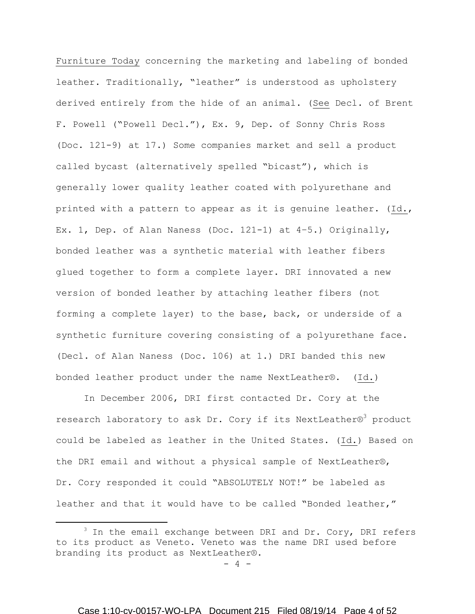Furniture Today concerning the marketing and labeling of bonded leather. Traditionally, "leather" is understood as upholstery derived entirely from the hide of an animal. (See Decl. of Brent F. Powell ("Powell Decl."), Ex. 9, Dep. of Sonny Chris Ross (Doc. 121-9) at 17.) Some companies market and sell a product called bycast (alternatively spelled "bicast"), which is generally lower quality leather coated with polyurethane and printed with a pattern to appear as it is genuine leather. (Id., Ex. 1, Dep. of Alan Naness (Doc. 121-1) at 4–5.) Originally, bonded leather was a synthetic material with leather fibers glued together to form a complete layer. DRI innovated a new version of bonded leather by attaching leather fibers (not forming a complete layer) to the base, back, or underside of a synthetic furniture covering consisting of a polyurethane face. (Decl. of Alan Naness (Doc. 106) at 1.) DRI banded this new bonded leather product under the name NextLeather®. (Id.)

In December 2006, DRI first contacted Dr. Cory at the research laboratory to ask Dr. Cory if its NextLeather®<sup>3</sup> product could be labeled as leather in the United States. (Id.) Based on the DRI email and without a physical sample of NextLeather®, Dr. Cory responded it could "ABSOLUTELY NOT!" be labeled as leather and that it would have to be called "Bonded leather,"

 $\overline{\phantom{a}}$ 

 $3$  In the email exchange between DRI and Dr. Cory, DRI refers to its product as Veneto. Veneto was the name DRI used before branding its product as NextLeather®.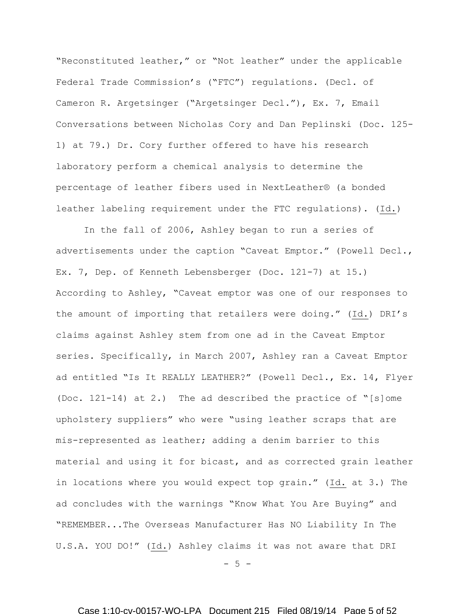"Reconstituted leather," or "Not leather" under the applicable Federal Trade Commission's ("FTC") regulations. (Decl. of Cameron R. Argetsinger ("Argetsinger Decl."), Ex. 7, Email Conversations between Nicholas Cory and Dan Peplinski (Doc. 125- 1) at 79.) Dr. Cory further offered to have his research laboratory perform a chemical analysis to determine the percentage of leather fibers used in NextLeather® (a bonded leather labeling requirement under the FTC regulations). (Id.)

In the fall of 2006, Ashley began to run a series of advertisements under the caption "Caveat Emptor." (Powell Decl., Ex. 7, Dep. of Kenneth Lebensberger (Doc. 121-7) at 15.) According to Ashley, "Caveat emptor was one of our responses to the amount of importing that retailers were doing." (Id.) DRI's claims against Ashley stem from one ad in the Caveat Emptor series. Specifically, in March 2007, Ashley ran a Caveat Emptor ad entitled "Is It REALLY LEATHER?" (Powell Decl., Ex. 14, Flyer (Doc. 121-14) at 2.) The ad described the practice of "[s]ome upholstery suppliers" who were "using leather scraps that are mis-represented as leather; adding a denim barrier to this material and using it for bicast, and as corrected grain leather in locations where you would expect top grain." (Id. at 3.) The ad concludes with the warnings "Know What You Are Buying" and "REMEMBER...The Overseas Manufacturer Has NO Liability In The U.S.A. YOU DO!" (Id.) Ashley claims it was not aware that DRI

 $- 5 -$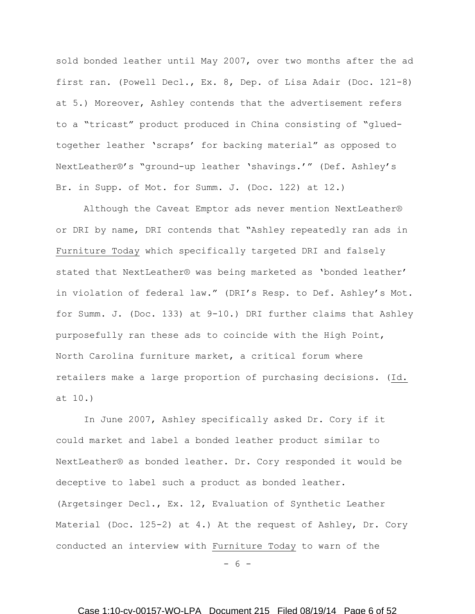sold bonded leather until May 2007, over two months after the ad first ran. (Powell Decl., Ex. 8, Dep. of Lisa Adair (Doc. 121-8) at 5.) Moreover, Ashley contends that the advertisement refers to a "tricast" product produced in China consisting of "gluedtogether leather 'scraps' for backing material" as opposed to NextLeather®'s "ground-up leather 'shavings.'" (Def. Ashley's Br. in Supp. of Mot. for Summ. J. (Doc. 122) at 12.)

Although the Caveat Emptor ads never mention NextLeather® or DRI by name, DRI contends that "Ashley repeatedly ran ads in Furniture Today which specifically targeted DRI and falsely stated that NextLeather® was being marketed as 'bonded leather' in violation of federal law." (DRI's Resp. to Def. Ashley's Mot. for Summ. J. (Doc. 133) at 9-10.) DRI further claims that Ashley purposefully ran these ads to coincide with the High Point, North Carolina furniture market, a critical forum where retailers make a large proportion of purchasing decisions. (Id. at 10.)

In June 2007, Ashley specifically asked Dr. Cory if it could market and label a bonded leather product similar to NextLeather® as bonded leather. Dr. Cory responded it would be deceptive to label such a product as bonded leather. (Argetsinger Decl., Ex. 12, Evaluation of Synthetic Leather Material (Doc. 125-2) at 4.) At the request of Ashley, Dr. Cory conducted an interview with Furniture Today to warn of the

- 6 -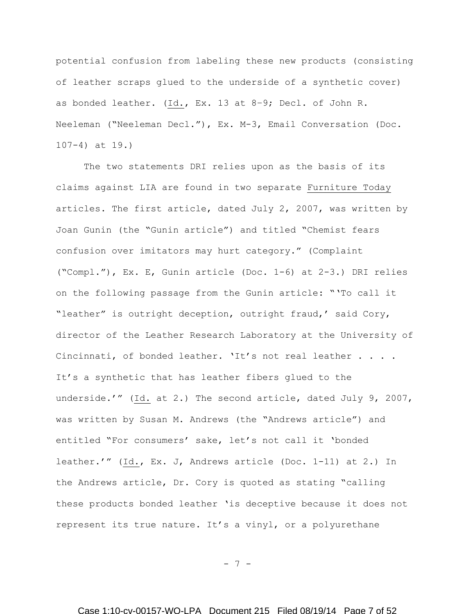potential confusion from labeling these new products (consisting of leather scraps glued to the underside of a synthetic cover) as bonded leather. (Id., Ex. 13 at 8–9; Decl. of John R. Neeleman ("Neeleman Decl."), Ex. M-3, Email Conversation (Doc. 107-4) at 19.)

The two statements DRI relies upon as the basis of its claims against LIA are found in two separate Furniture Today articles. The first article, dated July 2, 2007, was written by Joan Gunin (the "Gunin article") and titled "Chemist fears confusion over imitators may hurt category." (Complaint ("Compl."), Ex. E, Gunin article (Doc. 1-6) at 2-3.) DRI relies on the following passage from the Gunin article: "'To call it "leather" is outright deception, outright fraud,' said Cory, director of the Leather Research Laboratory at the University of Cincinnati, of bonded leather. 'It's not real leather . . . . It's a synthetic that has leather fibers glued to the underside.'" (Id. at 2.) The second article, dated July 9, 2007, was written by Susan M. Andrews (the "Andrews article") and entitled "For consumers' sake, let's not call it 'bonded leather.'" (Id., Ex. J, Andrews article (Doc. 1-11) at 2.) In the Andrews article, Dr. Cory is quoted as stating "calling these products bonded leather 'is deceptive because it does not represent its true nature. It's a vinyl, or a polyurethane

- 7 -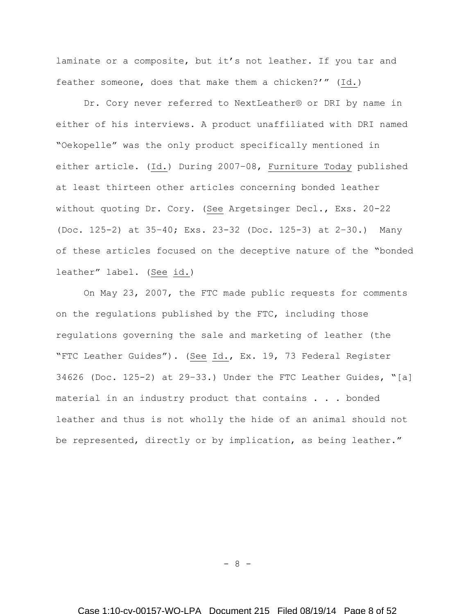laminate or a composite, but it's not leather. If you tar and feather someone, does that make them a chicken?'" (Id.)

Dr. Cory never referred to NextLeather® or DRI by name in either of his interviews. A product unaffiliated with DRI named "Oekopelle" was the only product specifically mentioned in either article. (Id.) During 2007–08, Furniture Today published at least thirteen other articles concerning bonded leather without quoting Dr. Cory. (See Argetsinger Decl., Exs. 20-22 (Doc. 125-2) at 35–40; Exs. 23-32 (Doc. 125-3) at 2–30.) Many of these articles focused on the deceptive nature of the "bonded leather" label. (See id.)

On May 23, 2007, the FTC made public requests for comments on the regulations published by the FTC, including those regulations governing the sale and marketing of leather (the "FTC Leather Guides"). (See Id., Ex. 19, 73 Federal Register 34626 (Doc. 125-2) at 29–33.) Under the FTC Leather Guides, "[a] material in an industry product that contains . . . bonded leather and thus is not wholly the hide of an animal should not be represented, directly or by implication, as being leather."

- 8 -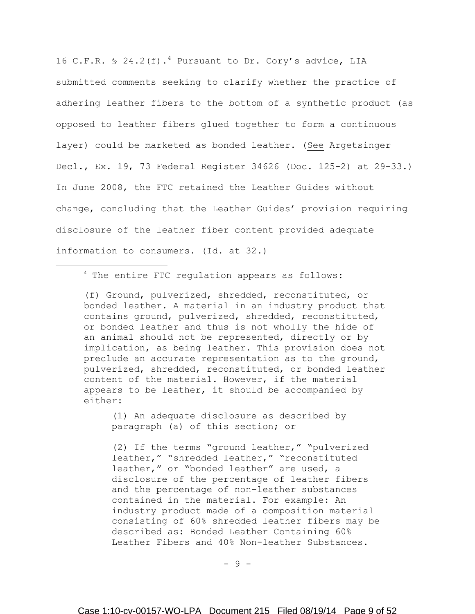16 C.F.R.  $\frac{1}{2}$  24.2(f).<sup>4</sup> Pursuant to Dr. Cory's advice, LIA submitted comments seeking to clarify whether the practice of adhering leather fibers to the bottom of a synthetic product (as opposed to leather fibers glued together to form a continuous layer) could be marketed as bonded leather. (See Argetsinger Decl., Ex. 19, 73 Federal Register 34626 (Doc. 125-2) at 29–33.) In June 2008, the FTC retained the Leather Guides without change, concluding that the Leather Guides' provision requiring disclosure of the leather fiber content provided adequate information to consumers. (Id. at 32.)

<sup>4</sup> The entire FTC regulation appears as follows:

 $\overline{a}$ 

(f) Ground, pulverized, shredded, reconstituted, or bonded leather. A material in an industry product that contains ground, pulverized, shredded, reconstituted, or bonded leather and thus is not wholly the hide of an animal should not be represented, directly or by implication, as being leather. This provision does not preclude an accurate representation as to the ground, pulverized, shredded, reconstituted, or bonded leather content of the material. However, if the material appears to be leather, it should be accompanied by either:

(1) An adequate disclosure as described by paragraph (a) of this section; or

(2) If the terms "ground leather," "pulverized leather," "shredded leather," "reconstituted leather," or "bonded leather" are used, a disclosure of the percentage of leather fibers and the percentage of non-leather substances contained in the material. For example: An industry product made of a composition material consisting of 60% shredded leather fibers may be described as: Bonded Leather Containing 60% Leather Fibers and 40% Non-leather Substances.

- 9 -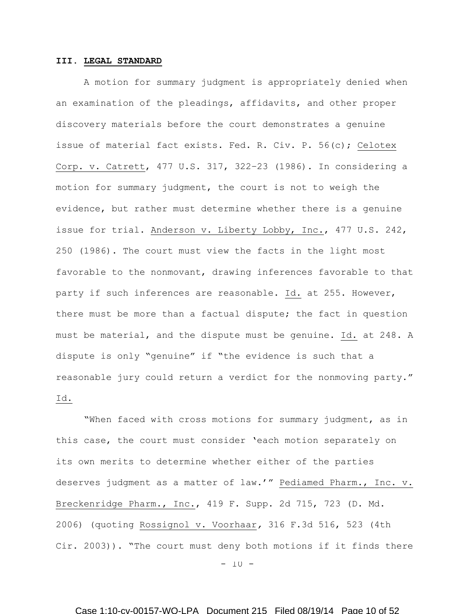## **III. LEGAL STANDARD**

A motion for summary judgment is appropriately denied when an examination of the pleadings, affidavits, and other proper discovery materials before the court demonstrates a genuine issue of material fact exists. Fed. R. Civ. P. 56(c); Celotex Corp. v. Catrett, 477 U.S. 317, 322–23 (1986). In considering a motion for summary judgment, the court is not to weigh the evidence, but rather must determine whether there is a genuine issue for trial. Anderson v. Liberty Lobby, Inc., 477 U.S. 242, 250 (1986). The court must view the facts in the light most favorable to the nonmovant, drawing inferences favorable to that party if such inferences are reasonable. Id. at 255. However, there must be more than a factual dispute; the fact in question must be material, and the dispute must be genuine. Id. at 248. A dispute is only "genuine" if "the evidence is such that a reasonable jury could return a verdict for the nonmoving party." Id.

 $-10 -$ "When faced with cross motions for summary judgment, as in this case, the court must consider 'each motion separately on its own merits to determine whether either of the parties deserves judgment as a matter of law.'" Pediamed Pharm., Inc. v. Breckenridge Pharm., Inc., 419 F. Supp. 2d 715, 723 (D. Md. 2006) (quoting Rossignol v. Voorhaar*,* 316 F.3d 516, 523 (4th Cir. 2003)). "The court must deny both motions if it finds there

Case 1:10-cv-00157-WO-LPA Document 215 Filed 08/19/14 Page 10 of 52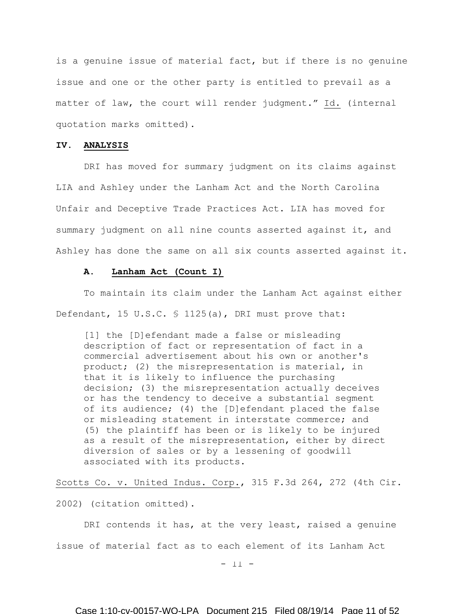is a genuine issue of material fact, but if there is no genuine issue and one or the other party is entitled to prevail as a matter of law, the court will render judgment." Id. (internal quotation marks omitted).

### **IV. ANALYSIS**

DRI has moved for summary judgment on its claims against LIA and Ashley under the Lanham Act and the North Carolina Unfair and Deceptive Trade Practices Act. LIA has moved for summary judgment on all nine counts asserted against it, and Ashley has done the same on all six counts asserted against it.

### **A. Lanham Act (Count I)**

To maintain its claim under the Lanham Act against either Defendant, 15 U.S.C. § 1125(a), DRI must prove that:

[1] the [D]efendant made a false or misleading description of fact or representation of fact in a commercial advertisement about his own or another's product; (2) the misrepresentation is material, in that it is likely to influence the purchasing decision; (3) the misrepresentation actually deceives or has the tendency to deceive a substantial segment of its audience; (4) the [D]efendant placed the false or misleading statement in interstate commerce; and (5) the plaintiff has been or is likely to be injured as a result of the misrepresentation, either by direct diversion of sales or by a lessening of goodwill associated with its products.

Scotts Co. v. United Indus. Corp., 315 F.3d 264, 272 (4th Cir.

2002) (citation omitted).

DRI contends it has, at the very least, raised a genuine issue of material fact as to each element of its Lanham Act

 $-11 -$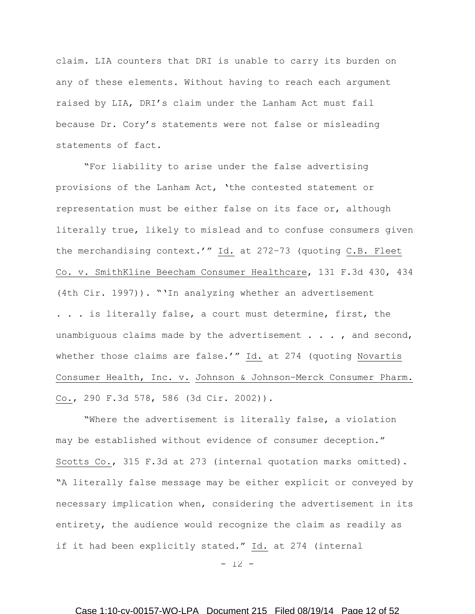claim. LIA counters that DRI is unable to carry its burden on any of these elements. Without having to reach each argument raised by LIA, DRI's claim under the Lanham Act must fail because Dr. Cory's statements were not false or misleading statements of fact.

"For liability to arise under the false advertising provisions of the Lanham Act, 'the contested statement or representation must be either false on its face or, although literally true, likely to mislead and to confuse consumers given the merchandising context.'" Id. at 272–73 (quoting C.B. Fleet Co. v. SmithKline Beecham Consumer Healthcare, 131 F.3d 430, 434 (4th Cir. 1997)). "'In analyzing whether an advertisement . . . is literally false, a court must determine, first, the unambiguous claims made by the advertisement  $\ldots$ , and second, whether those claims are false.'" Id. at 274 (quoting [Novartis](https://a.next.westlaw.com/Link/Document/FullText?findType=Y&serNum=2002306317&pubNum=506&originationContext=document&transitionType=DocumentItem&contextData=(sc.UserEnteredCitation)#co_pp_sp_506_586)  [Consumer Health, Inc. v.](https://a.next.westlaw.com/Link/Document/FullText?findType=Y&serNum=2002306317&pubNum=506&originationContext=document&transitionType=DocumentItem&contextData=(sc.UserEnteredCitation)#co_pp_sp_506_586) Johnson & Johnson–Merck Consumer Pharm. [Co., 290 F.3d 578, 586 \(3d Cir. 2002\)\)](https://a.next.westlaw.com/Link/Document/FullText?findType=Y&serNum=2002306317&pubNum=506&originationContext=document&transitionType=DocumentItem&contextData=(sc.UserEnteredCitation)#co_pp_sp_506_586).

"Where the advertisement is literally false, a violation may be established without evidence of consumer deception." Scotts Co., 315 F.3d at 273 (internal quotation marks omitted). "A literally false message may be either explicit or conveyed by necessary implication when, considering the advertisement in its entirety, the audience would recognize the claim as readily as if it had been explicitly stated." Id. at 274 (internal

 $-12 -$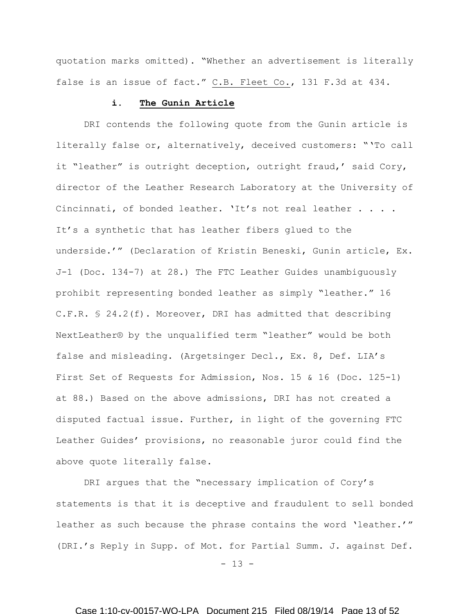quotation marks omitted). "Whether an advertisement is literally false is an issue of fact." C.B. Fleet Co., 131 F.3d at 434.

### **i. The Gunin Article**

DRI contends the following quote from the Gunin article is literally false or, alternatively, deceived customers: "'To call it "leather" is outright deception, outright fraud,' said Cory, director of the Leather Research Laboratory at the University of Cincinnati, of bonded leather. 'It's not real leather . . . . It's a synthetic that has leather fibers glued to the underside.'" (Declaration of Kristin Beneski, Gunin article, Ex. J-1 (Doc. 134-7) at 28.) The FTC Leather Guides unambiguously prohibit representing bonded leather as simply "leather." 16 C.F.R. § 24.2(f). Moreover, DRI has admitted that describing NextLeather® by the unqualified term "leather" would be both false and misleading. (Argetsinger Decl., Ex. 8, Def. LIA's First Set of Requests for Admission, Nos. 15 & 16 (Doc. 125-1) at 88.) Based on the above admissions, DRI has not created a disputed factual issue. Further, in light of the governing FTC Leather Guides' provisions, no reasonable juror could find the above quote literally false.

DRI argues that the "necessary implication of Cory's statements is that it is deceptive and fraudulent to sell bonded leather as such because the phrase contains the word 'leather.'" (DRI.'s Reply in Supp. of Mot. for Partial Summ. J. against Def.

 $- 13 -$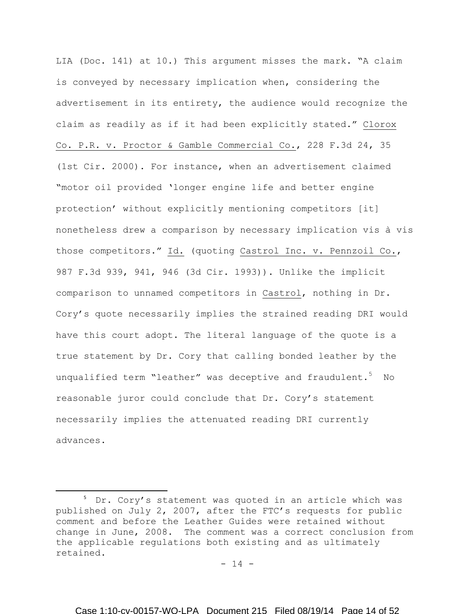LIA (Doc. 141) at 10.) This argument misses the mark. "A claim is conveyed by necessary implication when, considering the advertisement in its entirety, the audience would recognize the claim as readily as if it had been explicitly stated." Clorox Co. P.R. v. Proctor & Gamble Commercial Co., 228 F.3d 24, 35 (1st Cir. 2000). For instance, when an advertisement claimed "motor oil provided 'longer engine life and better engine protection' without explicitly mentioning competitors [it] nonetheless drew a comparison by necessary implication vis à vis those competitors." Id. (quoting Castrol Inc. v. Pennzoil Co., 987 F.3d 939, 941, 946 (3d Cir. 1993)). Unlike the implicit comparison to unnamed competitors in Castrol, nothing in Dr. Cory's quote necessarily implies the strained reading DRI would have this court adopt. The literal language of the quote is a true statement by Dr. Cory that calling bonded leather by the unqualified term "leather" was deceptive and fraudulent.<sup>5</sup> No reasonable juror could conclude that Dr. Cory's statement necessarily implies the attenuated reading DRI currently advances.

 $\overline{\phantom{a}}$ 

 $- 14 -$ 

<sup>&</sup>lt;sup>5</sup> Dr. Cory's statement was quoted in an article which was published on July 2, 2007, after the FTC's requests for public comment and before the Leather Guides were retained without change in June, 2008. The comment was a correct conclusion from the applicable regulations both existing and as ultimately retained.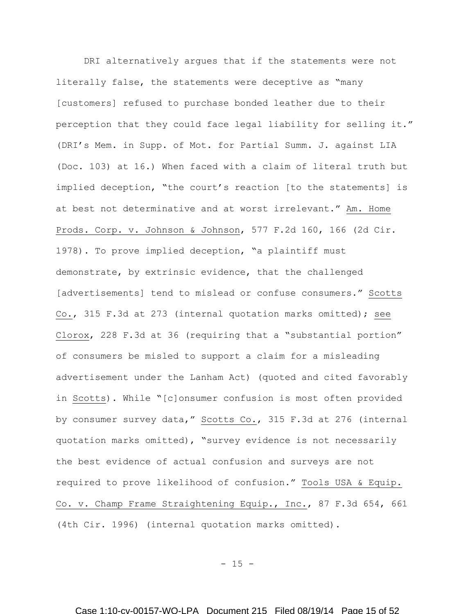DRI alternatively argues that if the statements were not literally false, the statements were deceptive as "many [customers] refused to purchase bonded leather due to their perception that they could face legal liability for selling it." (DRI's Mem. in Supp. of Mot. for Partial Summ. J. against LIA (Doc. 103) at 16.) When faced with a claim of literal truth but implied deception, "the court's reaction [to the statements] is at best not determinative and at worst irrelevant." Am. Home Prods. Corp. v. Johnson & Johnson, 577 F.2d 160, 166 (2d Cir. 1978). To prove implied deception, "a plaintiff must demonstrate, by extrinsic evidence, that the challenged [advertisements] tend to mislead or confuse consumers." Scotts Co., 315 F.3d at 273 (internal quotation marks omitted); see Clorox, 228 F.3d at 36 (requiring that a "substantial portion" of consumers be misled to support a claim for a misleading advertisement under the Lanham Act) (quoted and cited favorably in Scotts). While "[c]onsumer confusion is most often provided by consumer survey data," Scotts Co., 315 F.3d at 276 (internal quotation marks omitted), "survey evidence is not necessarily the best evidence of actual confusion and surveys are not required to prove likelihood of confusion." Tools USA & Equip. Co. v. Champ Frame Straightening Equip., Inc., 87 F.3d 654, 661 (4th Cir. 1996) (internal quotation marks omitted).

 $- 15 -$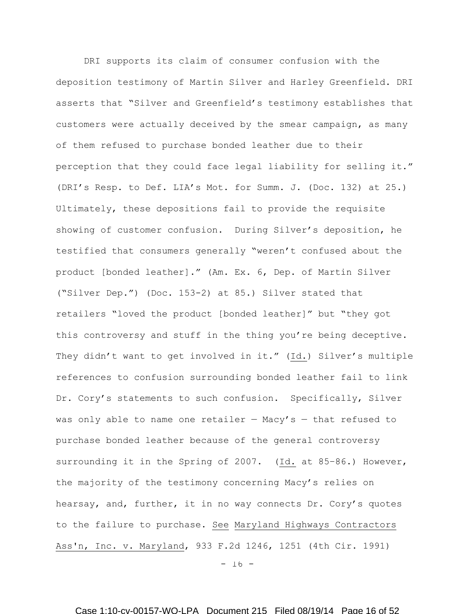DRI supports its claim of consumer confusion with the deposition testimony of Martin Silver and Harley Greenfield. DRI asserts that "Silver and Greenfield's testimony establishes that customers were actually deceived by the smear campaign, as many of them refused to purchase bonded leather due to their perception that they could face legal liability for selling it." (DRI's Resp. to Def. LIA's Mot. for Summ. J. (Doc. 132) at 25.) Ultimately, these depositions fail to provide the requisite showing of customer confusion. During Silver's deposition, he testified that consumers generally "weren't confused about the product [bonded leather]." (Am. Ex. 6, Dep. of Martin Silver ("Silver Dep.") (Doc. 153-2) at 85.) Silver stated that retailers "loved the product [bonded leather]" but "they got this controversy and stuff in the thing you're being deceptive. They didn't want to get involved in it." (Id.) Silver's multiple references to confusion surrounding bonded leather fail to link Dr. Cory's statements to such confusion. Specifically, Silver was only able to name one retailer  $-$  Macy's  $-$  that refused to purchase bonded leather because of the general controversy surrounding it in the Spring of 2007. (Id. at 85–86.) However, the majority of the testimony concerning Macy's relies on hearsay, and, further, it in no way connects Dr. Cory's quotes to the failure to purchase. See Maryland Highways Contractors Ass'n, Inc. v. Maryland, 933 F.2d 1246, 1251 (4th Cir. 1991)

 $- 16 -$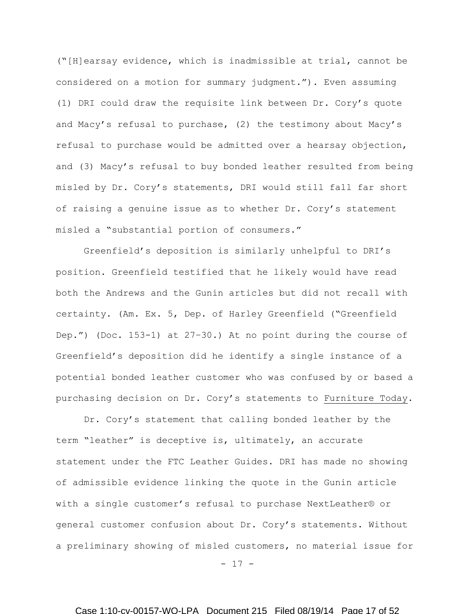("[H]earsay evidence, which is inadmissible at trial, cannot be considered on a motion for summary judgment."). Even assuming (1) DRI could draw the requisite link between Dr. Cory's quote and Macy's refusal to purchase, (2) the testimony about Macy's refusal to purchase would be admitted over a hearsay objection, and (3) Macy's refusal to buy bonded leather resulted from being misled by Dr. Cory's statements, DRI would still fall far short of raising a genuine issue as to whether Dr. Cory's statement misled a "substantial portion of consumers."

Greenfield's deposition is similarly unhelpful to DRI's position. Greenfield testified that he likely would have read both the Andrews and the Gunin articles but did not recall with certainty. (Am. Ex. 5, Dep. of Harley Greenfield ("Greenfield Dep.") (Doc. 153-1) at 27–30.) At no point during the course of Greenfield's deposition did he identify a single instance of a potential bonded leather customer who was confused by or based a purchasing decision on Dr. Cory's statements to Furniture Today.

Dr. Cory's statement that calling bonded leather by the term "leather" is deceptive is, ultimately, an accurate statement under the FTC Leather Guides. DRI has made no showing of admissible evidence linking the quote in the Gunin article with a single customer's refusal to purchase NextLeather® or general customer confusion about Dr. Cory's statements. Without a preliminary showing of misled customers, no material issue for

- 17 -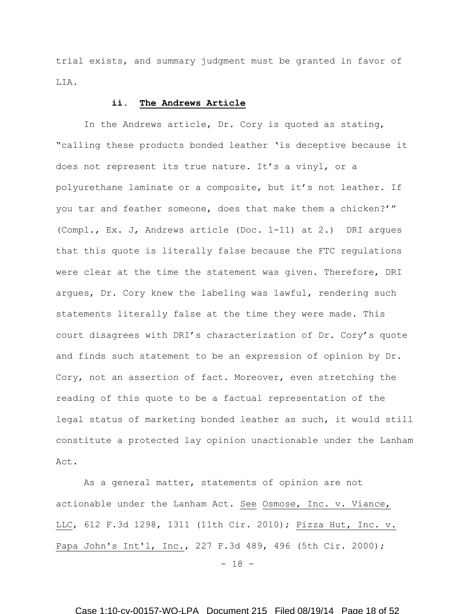trial exists, and summary judgment must be granted in favor of LIA.

### **ii. The Andrews Article**

In the Andrews article, Dr. Cory is quoted as stating, "calling these products bonded leather 'is deceptive because it does not represent its true nature. It's a vinyl, or a polyurethane laminate or a composite, but it's not leather. If you tar and feather someone, does that make them a chicken?'" (Compl., Ex. J, Andrews article (Doc. 1-11) at 2.) DRI argues that this quote is literally false because the FTC regulations were clear at the time the statement was given. Therefore, DRI argues, Dr. Cory knew the labeling was lawful, rendering such statements literally false at the time they were made. This court disagrees with DRI's characterization of Dr. Cory's quote and finds such statement to be an expression of opinion by Dr. Cory, not an assertion of fact. Moreover, even stretching the reading of this quote to be a factual representation of the legal status of marketing bonded leather as such, it would still constitute a protected lay opinion unactionable under the Lanham Act.

As a general matter, statements of opinion are not actionable under the Lanham Act. See Osmose, Inc. v. Viance, LLC, 612 F.3d 1298, 1311 (11th Cir. 2010); Pizza Hut, Inc. v. Papa John's Int'l, Inc., 227 F.3d 489, 496 (5th Cir. 2000);

- 18 -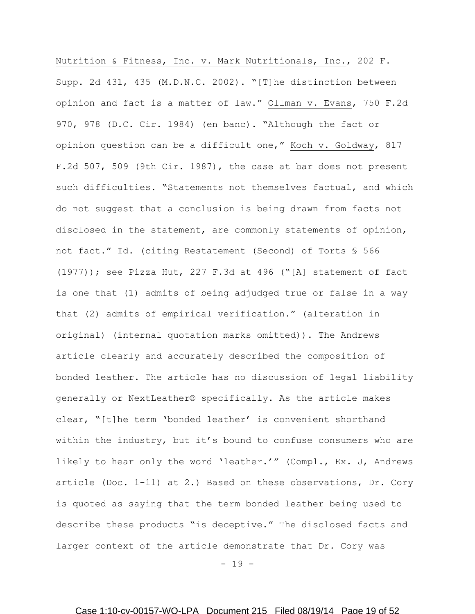Nutrition & Fitness, Inc. v. Mark Nutritionals, Inc., 202 F. Supp. 2d 431, 435 (M.D.N.C. 2002). "[T]he distinction between opinion and fact is a matter of law." Ollman v. Evans, 750 F.2d 970, 978 (D.C. Cir. 1984) (en banc). "Although the fact or opinion question can be a difficult one," Koch v. Goldway, 817 F.2d 507, 509 (9th Cir. 1987), the case at bar does not present such difficulties. "Statements not themselves factual, and which do not suggest that a conclusion is being drawn from facts not disclosed in the statement, are commonly statements of opinion, not fact." Id. (citing Restatement (Second) of Torts § 566 (1977)); see Pizza Hut, 227 F.3d at 496 ("[A] statement of fact is one that (1) admits of being adjudged true or false in a way that (2) admits of empirical verification." (alteration in original) (internal quotation marks omitted)). The Andrews article clearly and accurately described the composition of bonded leather. The article has no discussion of legal liability generally or NextLeather® specifically. As the article makes clear, "[t]he term 'bonded leather' is convenient shorthand within the industry, but it's bound to confuse consumers who are likely to hear only the word 'leather.'" (Compl., Ex. J, Andrews article (Doc. 1-11) at 2.) Based on these observations, Dr. Cory is quoted as saying that the term bonded leather being used to describe these products "is deceptive." The disclosed facts and larger context of the article demonstrate that Dr. Cory was

- 19 -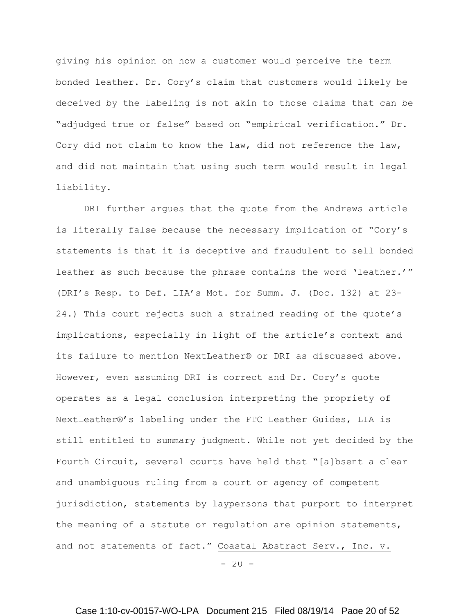giving his opinion on how a customer would perceive the term bonded leather. Dr. Cory's claim that customers would likely be deceived by the labeling is not akin to those claims that can be "adjudged true or false" based on "empirical verification." Dr. Cory did not claim to know the law, did not reference the law, and did not maintain that using such term would result in legal liability.

DRI further argues that the quote from the Andrews article is literally false because the necessary implication of "Cory's statements is that it is deceptive and fraudulent to sell bonded leather as such because the phrase contains the word 'leather.'" (DRI's Resp. to Def. LIA's Mot. for Summ. J. (Doc. 132) at 23- 24.) This court rejects such a strained reading of the quote's implications, especially in light of the article's context and its failure to mention NextLeather® or DRI as discussed above. However, even assuming DRI is correct and Dr. Cory's quote operates as a legal conclusion interpreting the propriety of NextLeather®'s labeling under the FTC Leather Guides, LIA is still entitled to summary judgment. While not yet decided by the Fourth Circuit, several courts have held that "[a]bsent a clear and unambiguous ruling from a court or agency of competent jurisdiction, statements by laypersons that purport to interpret the meaning of a statute or regulation are opinion statements, and not statements of fact." Coastal Abstract Serv., Inc. v.

 $-20 -$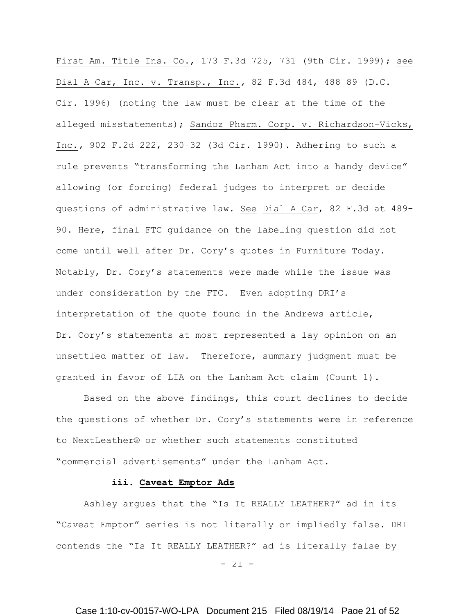First Am. Title Ins. Co., 173 F.3d 725, 731 (9th Cir. 1999); see Dial A Car, Inc. v. Transp., Inc.*,* 82 F.3d 484, 488–89 (D.C. Cir. 1996) (noting the law must be clear at the time of the alleged misstatements); Sandoz Pharm. Corp. v. Richardson–Vicks, Inc.*,* 902 F.2d 222, 230–32 (3d Cir. 1990). Adhering to such a rule prevents "transforming the Lanham Act into a handy device" allowing (or forcing) federal judges to interpret or decide questions of administrative law. See Dial A Car, 82 F.3d at 489- 90. Here, final FTC guidance on the labeling question did not come until well after Dr. Cory's quotes in Furniture Today. Notably, Dr. Cory's statements were made while the issue was under consideration by the FTC. Even adopting DRI's interpretation of the quote found in the Andrews article, Dr. Cory's statements at most represented a lay opinion on an unsettled matter of law. Therefore, summary judgment must be granted in favor of LIA on the Lanham Act claim (Count 1).

Based on the above findings, this court declines to decide the questions of whether Dr. Cory's statements were in reference to NextLeather® or whether such statements constituted "commercial advertisements" under the Lanham Act.

#### **iii. Caveat Emptor Ads**

Ashley argues that the "Is It REALLY LEATHER?" ad in its "Caveat Emptor" series is not literally or impliedly false. DRI contends the "Is It REALLY LEATHER?" ad is literally false by

 $- 21 -$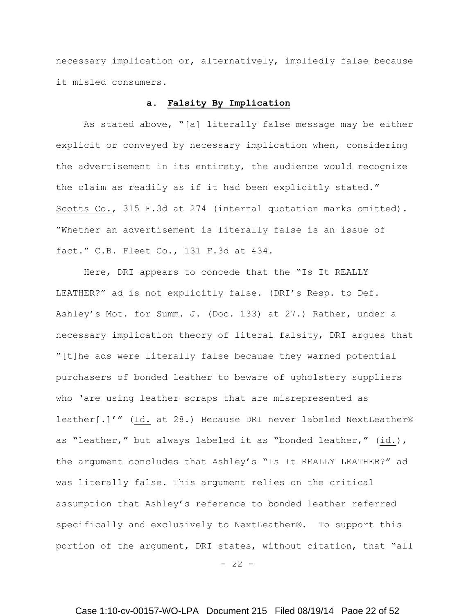necessary implication or, alternatively, impliedly false because it misled consumers.

## **a. Falsity By Implication**

As stated above, "[a] literally false message may be either explicit or conveyed by necessary implication when, considering the advertisement in its entirety, the audience would recognize the claim as readily as if it had been explicitly stated." Scotts Co., 315 F.3d at 274 (internal quotation marks omitted). "Whether an advertisement is literally false is an issue of fact." C.B. Fleet Co., 131 F.3d at 434.

Here, DRI appears to concede that the "Is It REALLY LEATHER?" ad is not explicitly false. (DRI's Resp. to Def. Ashley's Mot. for Summ. J. (Doc. 133) at 27.) Rather, under a necessary implication theory of literal falsity, DRI argues that "[t]he ads were literally false because they warned potential purchasers of bonded leather to beware of upholstery suppliers who 'are using leather scraps that are misrepresented as leather[.]'" (Id. at 28.) Because DRI never labeled NextLeather® as "leather," but always labeled it as "bonded leather," (id.), the argument concludes that Ashley's "Is It REALLY LEATHER?" ad was literally false. This argument relies on the critical assumption that Ashley's reference to bonded leather referred specifically and exclusively to NextLeather®. To support this portion of the argument, DRI states, without citation, that "all

 $-22 -$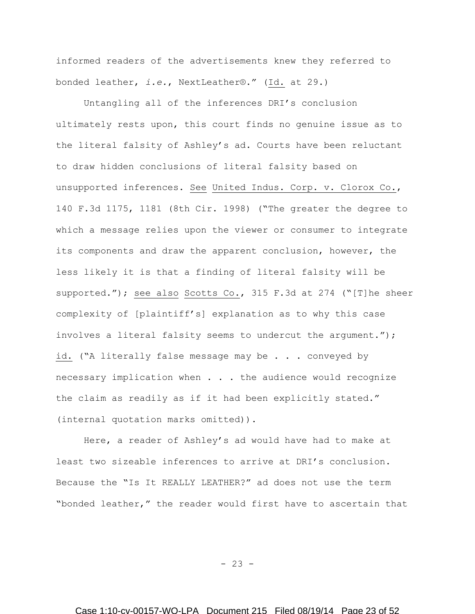informed readers of the advertisements knew they referred to bonded leather, *i.e.*, NextLeather®." (Id. at 29.)

Untangling all of the inferences DRI's conclusion ultimately rests upon, this court finds no genuine issue as to the literal falsity of Ashley's ad. Courts have been reluctant to draw hidden conclusions of literal falsity based on unsupported inferences. See United Indus. Corp. v. Clorox Co., 140 F.3d 1175, 1181 (8th Cir. 1998) ("The greater the degree to which a message relies upon the viewer or consumer to integrate its components and draw the apparent conclusion, however, the less likely it is that a finding of literal falsity will be supported."); see also Scotts Co., 315 F.3d at 274 ("[T]he sheer complexity of [plaintiff's] explanation as to why this case involves a literal falsity seems to undercut the argument."); id. ("A literally false message may be . . . conveyed by necessary implication when . . . the audience would recognize the claim as readily as if it had been explicitly stated." (internal quotation marks omitted)).

Here, a reader of Ashley's ad would have had to make at least two sizeable inferences to arrive at DRI's conclusion. Because the "Is It REALLY LEATHER?" ad does not use the term "bonded leather," the reader would first have to ascertain that

 $- 23 -$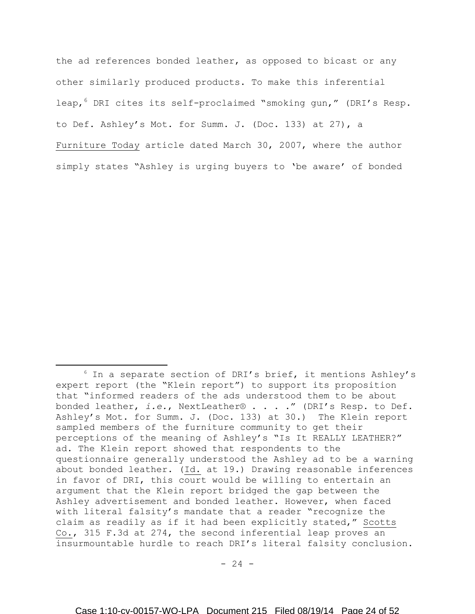the ad references bonded leather, as opposed to bicast or any other similarly produced products. To make this inferential leap, <sup>6</sup> DRI cites its self-proclaimed "smoking gun," (DRI's Resp. to Def. Ashley's Mot. for Summ. J. (Doc. 133) at 27), a Furniture Today article dated March 30, 2007, where the author simply states "Ashley is urging buyers to 'be aware' of bonded

 $\overline{\phantom{a}}$ 

 $6$  In a separate section of DRI's brief, it mentions Ashley's expert report (the "Klein report") to support its proposition that "informed readers of the ads understood them to be about bonded leather, *i.e.*, NextLeather® . . . ." (DRI's Resp. to Def. Ashley's Mot. for Summ. J. (Doc. 133) at 30.) The Klein report sampled members of the furniture community to get their perceptions of the meaning of Ashley's "Is It REALLY LEATHER?" ad. The Klein report showed that respondents to the questionnaire generally understood the Ashley ad to be a warning about bonded leather. (Id. at 19.) Drawing reasonable inferences in favor of DRI, this court would be willing to entertain an argument that the Klein report bridged the gap between the Ashley advertisement and bonded leather. However, when faced with literal falsity's mandate that a reader "recognize the claim as readily as if it had been explicitly stated," Scotts Co., 315 F.3d at 274, the second inferential leap proves an insurmountable hurdle to reach DRI's literal falsity conclusion.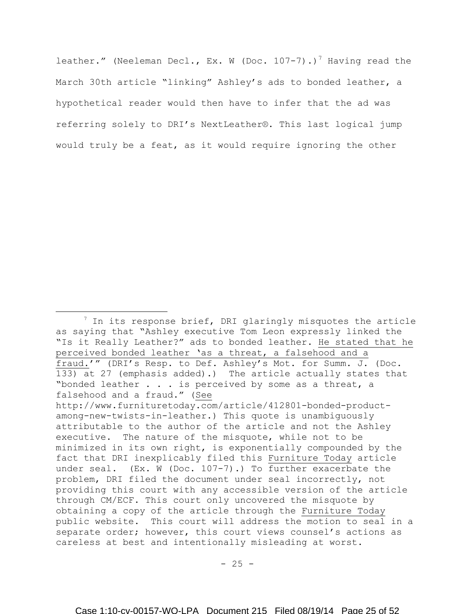leather." (Neeleman Decl., Ex. W (Doc. 107-7).)<sup>7</sup> Having read the March 30th article "linking" Ashley's ads to bonded leather, a hypothetical reader would then have to infer that the ad was referring solely to DRI's NextLeather®. This last logical jump would truly be a feat, as it would require ignoring the other

 $\overline{\phantom{a}}$ 

 $<sup>7</sup>$  In its response brief, DRI glaringly misquotes the article</sup> as saying that "Ashley executive Tom Leon expressly linked the "Is it Really Leather?" ads to bonded leather. He stated that he perceived bonded leather 'as a threat, a falsehood and a fraud.'" (DRI's Resp. to Def. Ashley's Mot. for Summ. J. (Doc. 133) at 27 (emphasis added).) The article actually states that "bonded leather . . . is perceived by some as a threat, a falsehood and a fraud." (See [http://www.furnituretoday.com/article/412801-bonded-product](http://www.furnituretoday.com/article/412801-bonded-product-among-new-twists-in-leather)[among-new-twists-in-leather.](http://www.furnituretoday.com/article/412801-bonded-product-among-new-twists-in-leather)) This quote is unambiguously attributable to the author of the article and not the Ashley executive. The nature of the misquote, while not to be minimized in its own right, is exponentially compounded by the fact that DRI inexplicably filed this Furniture Today article under seal. (Ex. W (Doc. 107-7).) To further exacerbate the problem, DRI filed the document under seal incorrectly, not providing this court with any accessible version of the article through CM/ECF. This court only uncovered the misquote by obtaining a copy of the article through the Furniture Today public website. This court will address the motion to seal in a separate order; however, this court views counsel's actions as careless at best and intentionally misleading at worst.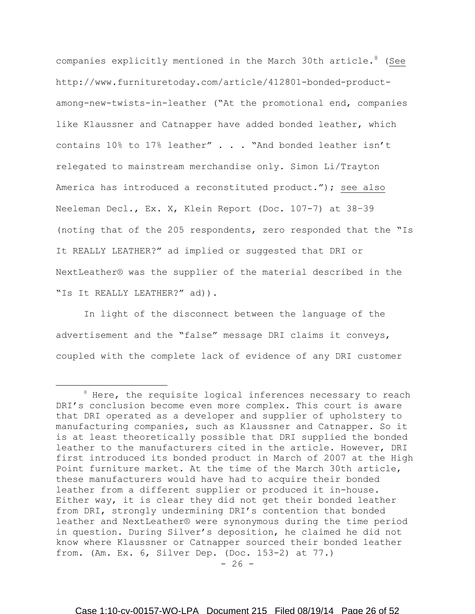companies explicitly mentioned in the March 30th article.  $8\,$  (See http://www.furnituretoday.com/article/412801-bonded-productamong-new-twists-in-leather ("At the promotional end, companies like Klaussner and Catnapper have added bonded leather, which contains 10% to 17% leather" . . . "And bonded leather isn't relegated to mainstream merchandise only. Simon Li/Trayton America has introduced a reconstituted product."); see also Neeleman Decl., Ex. X, Klein Report (Doc. 107-7) at 38–39 (noting that of the 205 respondents, zero responded that the "Is It REALLY LEATHER?" ad implied or suggested that DRI or NextLeather® was the supplier of the material described in the "Is It REALLY LEATHER?" ad)).

In light of the disconnect between the language of the advertisement and the "false" message DRI claims it conveys, coupled with the complete lack of evidence of any DRI customer

l

<sup>&</sup>lt;sup>8</sup> Here, the requisite logical inferences necessary to reach DRI's conclusion become even more complex. This court is aware that DRI operated as a developer and supplier of upholstery to manufacturing companies, such as Klaussner and Catnapper. So it is at least theoretically possible that DRI supplied the bonded leather to the manufacturers cited in the article. However, DRI first introduced its bonded product in March of 2007 at the High Point furniture market. At the time of the March 30th article, these manufacturers would have had to acquire their bonded leather from a different supplier or produced it in-house. Either way, it is clear they did not get their bonded leather from DRI, strongly undermining DRI's contention that bonded leather and NextLeather® were synonymous during the time period in question. During Silver's deposition, he claimed he did not know where Klaussner or Catnapper sourced their bonded leather from. (Am. Ex. 6, Silver Dep. (Doc. 153-2) at 77.)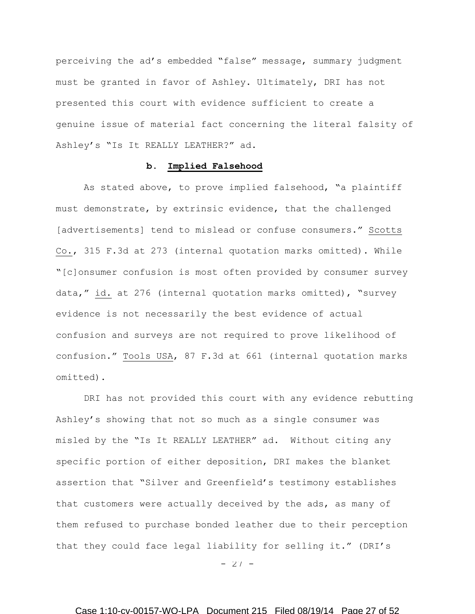perceiving the ad's embedded "false" message, summary judgment must be granted in favor of Ashley. Ultimately, DRI has not presented this court with evidence sufficient to create a genuine issue of material fact concerning the literal falsity of Ashley's "Is It REALLY LEATHER?" ad.

## **b. Implied Falsehood**

As stated above, to prove implied falsehood, "a plaintiff must demonstrate, by extrinsic evidence, that the challenged [advertisements] tend to mislead or confuse consumers." Scotts Co., 315 F.3d at 273 (internal quotation marks omitted). While "[c]onsumer confusion is most often provided by consumer survey data," id. at 276 (internal quotation marks omitted), "survey evidence is not necessarily the best evidence of actual confusion and surveys are not required to prove likelihood of confusion." Tools USA, 87 F.3d at 661 (internal quotation marks omitted).

DRI has not provided this court with any evidence rebutting Ashley's showing that not so much as a single consumer was misled by the "Is It REALLY LEATHER" ad. Without citing any specific portion of either deposition, DRI makes the blanket assertion that "Silver and Greenfield's testimony establishes that customers were actually deceived by the ads, as many of them refused to purchase bonded leather due to their perception that they could face legal liability for selling it." (DRI's

 $- 27 -$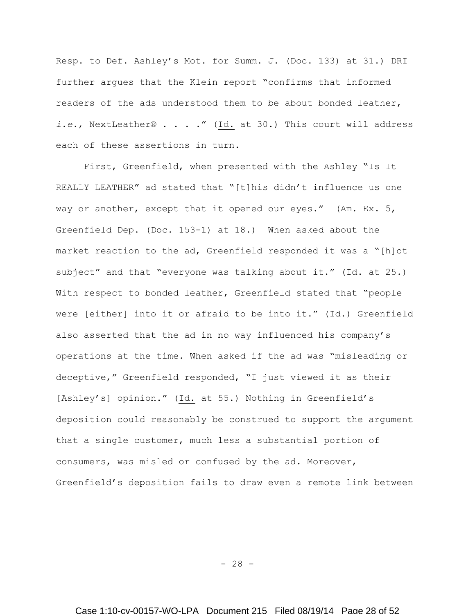Resp. to Def. Ashley's Mot. for Summ. J. (Doc. 133) at 31.) DRI further argues that the Klein report "confirms that informed readers of the ads understood them to be about bonded leather, *i.e.*, NextLeather® . . . ." (Id. at 30.) This court will address each of these assertions in turn.

First, Greenfield, when presented with the Ashley "Is It REALLY LEATHER" ad stated that "[t]his didn't influence us one way or another, except that it opened our eyes." (Am. Ex. 5, Greenfield Dep. (Doc. 153-1) at 18.) When asked about the market reaction to the ad, Greenfield responded it was a "[h]ot subject" and that "everyone was talking about it." (Id. at 25.) With respect to bonded leather, Greenfield stated that "people were [either] into it or afraid to be into it." (Id.) Greenfield also asserted that the ad in no way influenced his company's operations at the time. When asked if the ad was "misleading or deceptive," Greenfield responded, "I just viewed it as their [Ashley's] opinion." (Id. at 55.) Nothing in Greenfield's deposition could reasonably be construed to support the argument that a single customer, much less a substantial portion of consumers, was misled or confused by the ad. Moreover, Greenfield's deposition fails to draw even a remote link between

 $- 28 -$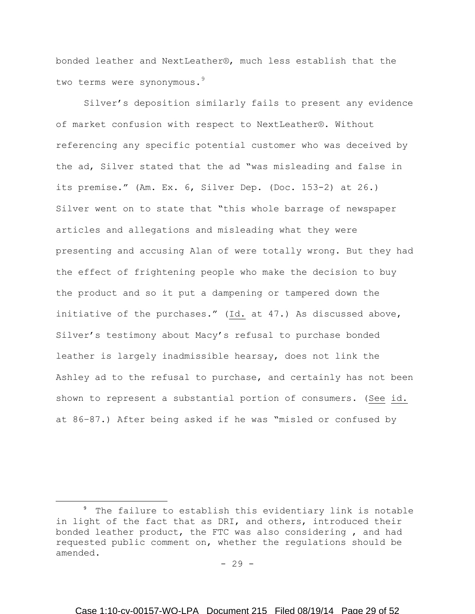bonded leather and NextLeather®, much less establish that the two terms were synonymous.<sup>9</sup>

Silver's deposition similarly fails to present any evidence of market confusion with respect to NextLeather®. Without referencing any specific potential customer who was deceived by the ad, Silver stated that the ad "was misleading and false in its premise." (Am. Ex. 6, Silver Dep. (Doc. 153-2) at 26.) Silver went on to state that "this whole barrage of newspaper articles and allegations and misleading what they were presenting and accusing Alan of were totally wrong. But they had the effect of frightening people who make the decision to buy the product and so it put a dampening or tampered down the initiative of the purchases." (Id. at 47.) As discussed above, Silver's testimony about Macy's refusal to purchase bonded leather is largely inadmissible hearsay, does not link the Ashley ad to the refusal to purchase, and certainly has not been shown to represent a substantial portion of consumers. (See id. at 86–87.) After being asked if he was "misled or confused by

 $\overline{a}$ 

<sup>9</sup> The failure to establish this evidentiary link is notable in light of the fact that as DRI, and others, introduced their bonded leather product, the FTC was also considering , and had requested public comment on, whether the regulations should be amended.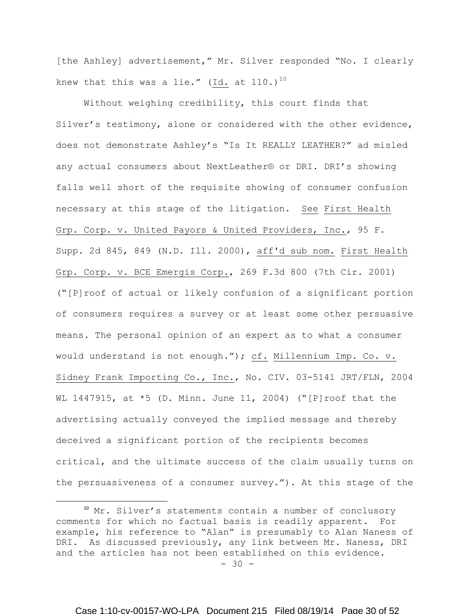[the Ashley] advertisement," Mr. Silver responded "No. I clearly knew that this was a lie." (Id. at  $110.$ )<sup>10</sup>

Without weighing credibility, this court finds that Silver's testimony, alone or considered with the other evidence, does not demonstrate Ashley's "Is It REALLY LEATHER?" ad misled any actual consumers about NextLeather® or DRI. DRI's showing falls well short of the requisite showing of consumer confusion necessary at this stage of the litigation. See First Health Grp. Corp. v. United Payors & United Providers, Inc., 95 F. Supp. 2d 845, 849 (N.D. Ill. 2000), aff'd sub nom. First Health Grp. Corp. v. BCE Emergis Corp., 269 F.3d 800 (7th Cir. 2001) ("[P]roof of actual or likely confusion of a significant portion of consumers requires a survey or at least some other persuasive means. The personal opinion of an expert as to what a consumer would understand is not enough."); cf. Millennium Imp. Co. v. Sidney Frank Importing Co., Inc., No. CIV. 03-5141 JRT/FLN, 2004 WL 1447915, at \*5 (D. Minn. June 11, 2004) ("[P]roof that the advertising actually conveyed the implied message and thereby deceived a significant portion of the recipients becomes critical, and the ultimate success of the claim usually turns on the persuasiveness of a consumer survey."). At this stage of the

 $\overline{a}$ 

 $- 30 -$ <sup>10</sup> Mr. Silver's statements contain a number of conclusory comments for which no factual basis is readily apparent. For example, his reference to "Alan" is presumably to Alan Naness of DRI. As discussed previously, any link between Mr. Naness, DRI and the articles has not been established on this evidence.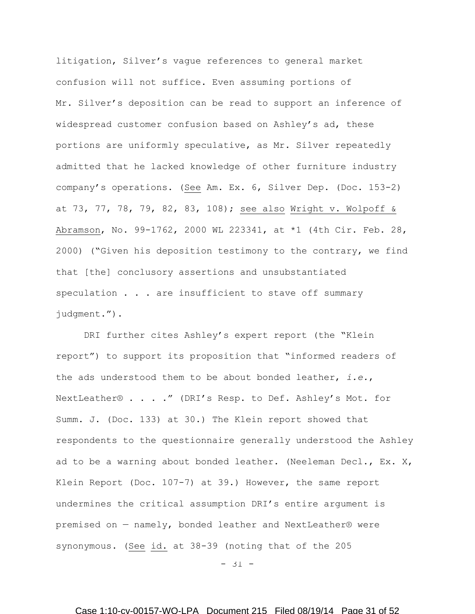litigation, Silver's vague references to general market confusion will not suffice. Even assuming portions of Mr. Silver's deposition can be read to support an inference of widespread customer confusion based on Ashley's ad, these portions are uniformly speculative, as Mr. Silver repeatedly admitted that he lacked knowledge of other furniture industry company's operations. (See Am. Ex. 6, Silver Dep. (Doc. 153-2) at 73, 77, 78, 79, 82, 83, 108); see also Wright v. Wolpoff & Abramson, No. 99-1762, 2000 WL 223341, at \*1 (4th Cir. Feb. 28, 2000) ("Given his deposition testimony to the contrary, we find that [the] conclusory assertions and unsubstantiated speculation . . . are insufficient to stave off summary judgment.").

DRI further cites Ashley's expert report (the "Klein report") to support its proposition that "informed readers of the ads understood them to be about bonded leather, *i.e.*, NextLeather® . . . ." (DRI's Resp. to Def. Ashley's Mot. for Summ. J. (Doc. 133) at 30.) The Klein report showed that respondents to the questionnaire generally understood the Ashley ad to be a warning about bonded leather. (Neeleman Decl., Ex. X, Klein Report (Doc. 107-7) at 39.) However, the same report undermines the critical assumption DRI's entire argument is premised on — namely, bonded leather and NextLeather® were synonymous. (See id. at 38-39 (noting that of the 205

 $-31 -$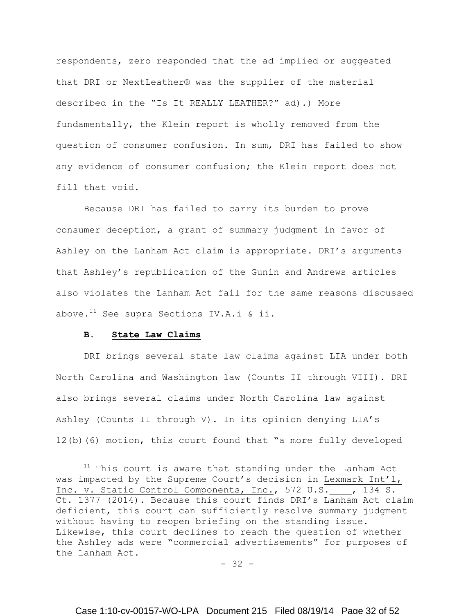respondents, zero responded that the ad implied or suggested that DRI or NextLeather® was the supplier of the material described in the "Is It REALLY LEATHER?" ad).) More fundamentally, the Klein report is wholly removed from the question of consumer confusion. In sum, DRI has failed to show any evidence of consumer confusion; the Klein report does not fill that void.

Because DRI has failed to carry its burden to prove consumer deception, a grant of summary judgment in favor of Ashley on the Lanham Act claim is appropriate. DRI's arguments that Ashley's republication of the Gunin and Andrews articles also violates the Lanham Act fail for the same reasons discussed above.<sup>11</sup> See supra Sections IV.A.i & ii.

#### **B. State Law Claims**

 $\overline{a}$ 

DRI brings several state law claims against LIA under both North Carolina and Washington law (Counts II through VIII). DRI also brings several claims under North Carolina law against Ashley (Counts II through V). In its opinion denying LIA's 12(b)(6) motion, this court found that "a more fully developed

<sup>&</sup>lt;sup>11</sup> This court is aware that standing under the Lanham Act was impacted by the Supreme Court's decision in Lexmark Int'l, Inc. v. Static Control Components, Inc., 572 U.S. , 134 S. Ct. 1377 (2014). Because this court finds DRI's Lanham Act claim deficient, this court can sufficiently resolve summary judgment without having to reopen briefing on the standing issue. Likewise, this court declines to reach the question of whether the Ashley ads were "commercial advertisements" for purposes of the Lanham Act.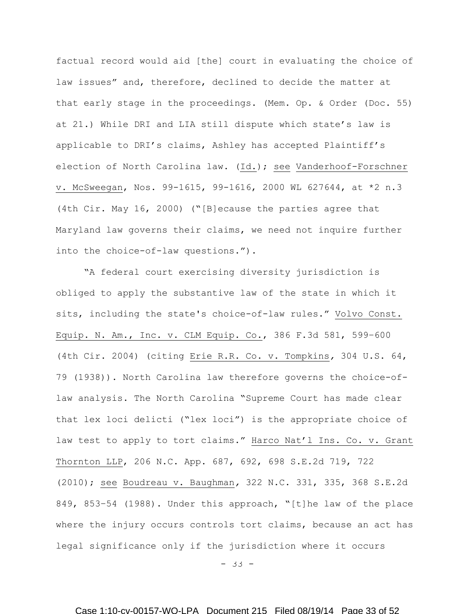factual record would aid [the] court in evaluating the choice of law issues" and, therefore, declined to decide the matter at that early stage in the proceedings. (Mem. Op. & Order (Doc. 55) at 21.) While DRI and LIA still dispute which state's law is applicable to DRI's claims, Ashley has accepted Plaintiff's election of North Carolina law. (Id.); see Vanderhoof-Forschner v. McSweegan, Nos. 99-1615, 99-1616, 2000 WL 627644, at \*2 n.3 (4th Cir. May 16, 2000) ("[B]ecause the parties agree that Maryland law governs their claims, we need not inquire further into the choice-of-law questions.").

"A federal court exercising diversity jurisdiction is obliged to apply the substantive law of the state in which it sits, including the state's choice-of-law rules." Volvo Const. Equip. N. Am., Inc. v. CLM Equip. Co., 386 F.3d 581, 599–600 (4th Cir. 2004) (citing Erie R.R. Co. v. Tompkins*,* 304 U.S. 64, 79 (1938)). North Carolina law therefore governs the choice-oflaw analysis. The North Carolina "Supreme Court has made clear that lex loci delicti ("lex loci") is the appropriate choice of law test to apply to tort claims." Harco Nat'l Ins. Co. v. Grant Thornton LLP, 206 N.C. App. 687, 692, 698 S.E.2d 719, 722 (2010); see Boudreau v. Baughman*,* 322 N.C. 331, 335, 368 S.E.2d 849, 853–54 (1988). Under this approach, "[t]he law of the place where the injury occurs controls tort claims, because an act has legal significance only if the jurisdiction where it occurs

- 33 -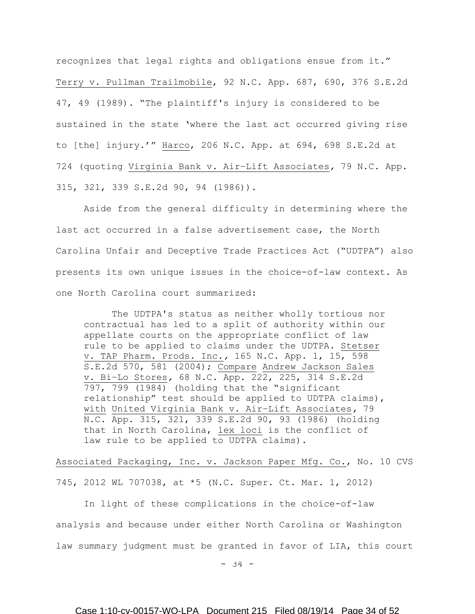recognizes that legal rights and obligations ensue from it." Terry v. Pullman Trailmobile, 92 N.C. App. 687, 690, 376 S.E.2d 47, 49 (1989). "The plaintiff's injury is considered to be sustained in the state 'where the last act occurred giving rise to [the] injury.'" Harco, 206 N.C. App. at 694, 698 S.E.2d at 724 (quoting Virginia Bank v. Air–Lift Associates*,* 79 N.C. App. 315, 321, 339 S.E.2d 90, 94 (1986)).

Aside from the general difficulty in determining where the last act occurred in a false advertisement case, the North Carolina Unfair and Deceptive Trade Practices Act ("UDTPA") also presents its own unique issues in the choice-of-law context. As one North Carolina court summarized:

The UDTPA's status as neither wholly tortious nor contractual has led to a split of authority within our appellate courts on the appropriate conflict of law rule to be applied to claims under the UDTPA. Stetser v. TAP Pharm. Prods. Inc.*,* 165 N.C. App. 1, 15, 598 S.E.2d 570, 581 (2004); Compare Andrew Jackson Sales v. Bi–Lo Stores*,* 68 N.C. App. 222, 225, 314 S.E.2d 797, 799 (1984) (holding that the "significant relationship" test should be applied to UDTPA claims), with United Virginia Bank v. Air–Lift Associates*,* 79 N.C. App. 315, 321, 339 S.E.2d 90, 93 (1986) (holding that in North Carolina, lex loci is the conflict of law rule to be applied to UDTPA claims).

Associated Packaging, Inc. v. Jackson Paper Mfg. Co., No. 10 CVS 745, 2012 WL 707038, at \*5 (N.C. Super. Ct. Mar. 1, 2012)

In light of these complications in the choice-of-law analysis and because under either North Carolina or Washington law summary judgment must be granted in favor of LIA, this court

 $-34 -$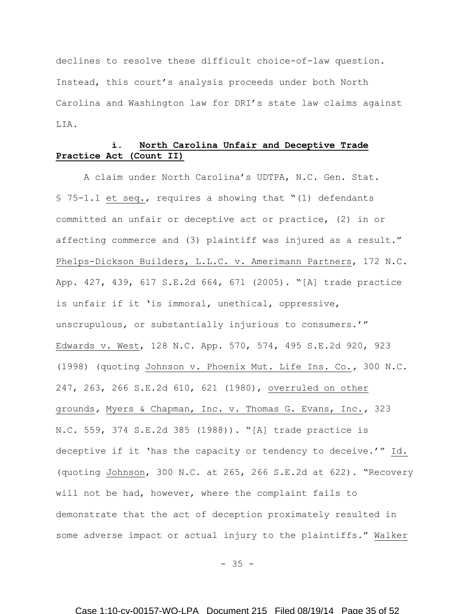declines to resolve these difficult choice-of-law question. Instead, this court's analysis proceeds under both North Carolina and Washington law for DRI's state law claims against LIA.

# **i. North Carolina Unfair and Deceptive Trade Practice Act (Count II)**

A claim under North Carolina's UDTPA, N.C. Gen. Stat. § 75-1.1 et seq., requires a showing that "(1) defendants committed an unfair or deceptive act or practice, (2) in or affecting commerce and (3) plaintiff was injured as a result." Phelps-Dickson Builders, L.L.C. v. Amerimann Partners, 172 N.C. App. 427, 439, 617 S.E.2d 664, 671 (2005). "[A] trade practice is unfair if it 'is immoral, unethical, oppressive, unscrupulous, or substantially injurious to consumers.'" Edwards v. West, 128 N.C. App. 570, 574, 495 S.E.2d 920, 923 (1998) (quoting Johnson v. Phoenix Mut. Life Ins. Co.*,* 300 N.C. 247, 263, 266 S.E.2d 610, 621 (1980), overruled on other grounds*,* Myers & Chapman, Inc. v. Thomas G. Evans, Inc.*,* 323 N.C. 559, 374 S.E.2d 385 (1988)). "[A] trade practice is deceptive if it 'has the capacity or tendency to deceive.'" Id. (quoting Johnson, 300 N.C. at 265, 266 S.E.2d at 622). "Recovery will not be had, however, where the complaint fails to demonstrate that the act of deception proximately resulted in some adverse impact or actual injury to the plaintiffs." Walker

 $- 35 -$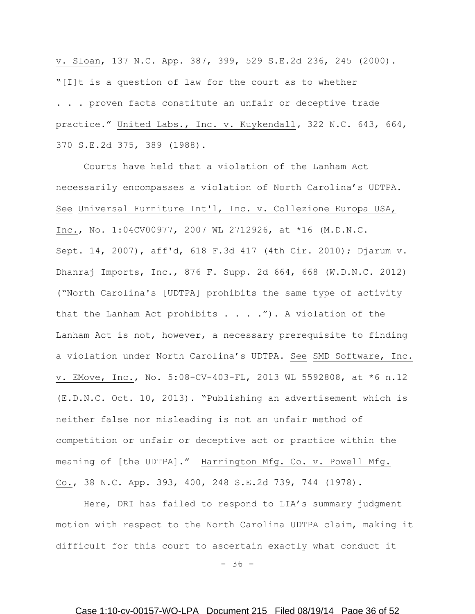v. Sloan, 137 N.C. App. 387, 399, 529 S.E.2d 236, 245 (2000). "[I]t is a question of law for the court as to whether . . . proven facts constitute an unfair or deceptive trade practice." United Labs., Inc. v. Kuykendall*,* 322 N.C. 643, 664, 370 S.E.2d 375, 389 (1988).

Courts have held that a violation of the Lanham Act necessarily encompasses a violation of North Carolina's UDTPA. See Universal Furniture Int'l, Inc. v. Collezione Europa USA, Inc., No. 1:04CV00977, 2007 WL 2712926, at \*16 (M.D.N.C. Sept. 14, 2007), aff'd, 618 F.3d 417 (4th Cir. 2010); Djarum v. Dhanraj Imports, Inc., 876 F. Supp. 2d 664, 668 (W.D.N.C. 2012) ("North Carolina's [UDTPA] prohibits the same type of activity that the Lanham Act prohibits  $\ldots$  . . . . . . A violation of the Lanham Act is not, however, a necessary prerequisite to finding a violation under North Carolina's UDTPA. See SMD Software, Inc. v. EMove, Inc., No. 5:08-CV-403-FL, 2013 WL 5592808, at \*6 n.12 (E.D.N.C. Oct. 10, 2013). "Publishing an advertisement which is neither false nor misleading is not an unfair method of competition or unfair or deceptive act or practice within the meaning of [the UDTPA]." Harrington Mfg. Co. v. Powell Mfg. Co., 38 N.C. App. 393, 400, 248 S.E.2d 739, 744 (1978).

 Here, DRI has failed to respond to LIA's summary judgment motion with respect to the North Carolina UDTPA claim, making it difficult for this court to ascertain exactly what conduct it

- 36 -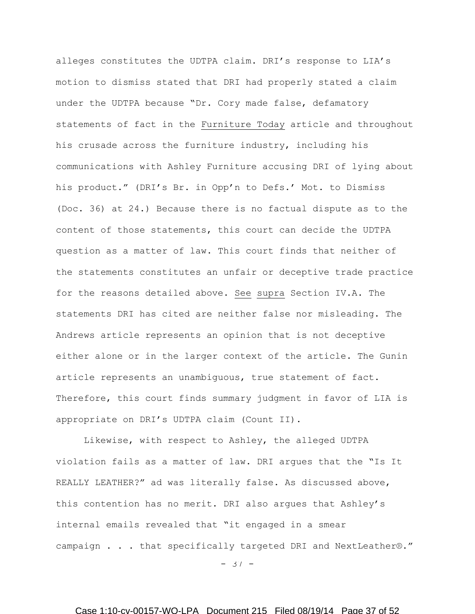alleges constitutes the UDTPA claim. DRI's response to LIA's motion to dismiss stated that DRI had properly stated a claim under the UDTPA because "Dr. Cory made false, defamatory statements of fact in the Furniture Today article and throughout his crusade across the furniture industry, including his communications with Ashley Furniture accusing DRI of lying about his product." (DRI's Br. in Opp'n to Defs.' Mot. to Dismiss (Doc. 36) at 24.) Because there is no factual dispute as to the content of those statements, this court can decide the UDTPA question as a matter of law. This court finds that neither of the statements constitutes an unfair or deceptive trade practice for the reasons detailed above. See supra Section IV.A. The statements DRI has cited are neither false nor misleading. The Andrews article represents an opinion that is not deceptive either alone or in the larger context of the article. The Gunin article represents an unambiguous, true statement of fact. Therefore, this court finds summary judgment in favor of LIA is appropriate on DRI's UDTPA claim (Count II).

Likewise, with respect to Ashley, the alleged UDTPA violation fails as a matter of law. DRI argues that the "Is It REALLY LEATHER?" ad was literally false. As discussed above, this contention has no merit. DRI also argues that Ashley's internal emails revealed that "it engaged in a smear campaign . . . that specifically targeted DRI and NextLeather®."

 $-37 -$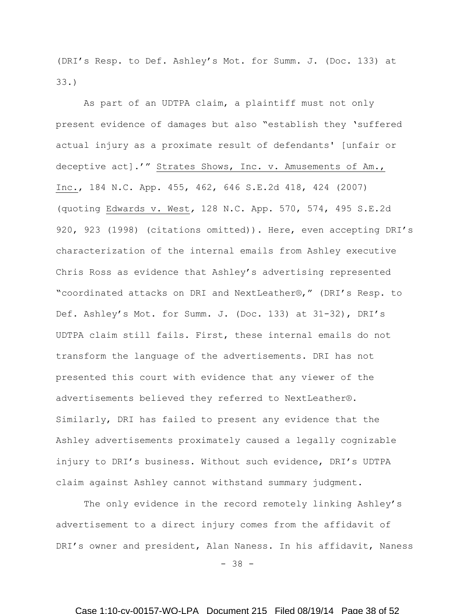(DRI's Resp. to Def. Ashley's Mot. for Summ. J. (Doc. 133) at 33.)

As part of an UDTPA claim, a plaintiff must not only present evidence of damages but also "establish they 'suffered actual injury as a proximate result of defendants' [unfair or deceptive act].'" Strates Shows, Inc. v. Amusements of Am., Inc., 184 N.C. App. 455, 462, 646 S.E.2d 418, 424 (2007) (quoting Edwards v. West*,* 128 N.C. App. 570, 574, 495 S.E.2d 920, 923 (1998) (citations omitted)). Here, even accepting DRI's characterization of the internal emails from Ashley executive Chris Ross as evidence that Ashley's advertising represented "coordinated attacks on DRI and NextLeather®," (DRI's Resp. to Def. Ashley's Mot. for Summ. J. (Doc. 133) at 31-32), DRI's UDTPA claim still fails. First, these internal emails do not transform the language of the advertisements. DRI has not presented this court with evidence that any viewer of the advertisements believed they referred to NextLeather®. Similarly, DRI has failed to present any evidence that the Ashley advertisements proximately caused a legally cognizable injury to DRI's business. Without such evidence, DRI's UDTPA claim against Ashley cannot withstand summary judgment.

The only evidence in the record remotely linking Ashley's advertisement to a direct injury comes from the affidavit of DRI's owner and president, Alan Naness. In his affidavit, Naness

- 38 -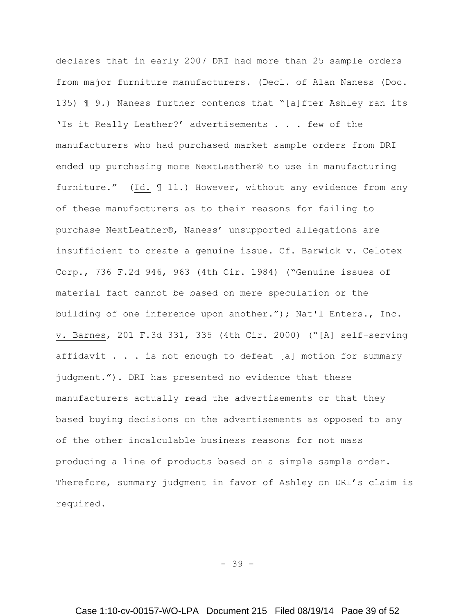declares that in early 2007 DRI had more than 25 sample orders from major furniture manufacturers. (Decl. of Alan Naness (Doc. 135) ¶ 9.) Naness further contends that "[a]fter Ashley ran its 'Is it Really Leather?' advertisements . . . few of the manufacturers who had purchased market sample orders from DRI ended up purchasing more NextLeather® to use in manufacturing furniture." (Id. ¶ 11.) However, without any evidence from any of these manufacturers as to their reasons for failing to purchase NextLeather®, Naness' unsupported allegations are insufficient to create a genuine issue. Cf. Barwick v. Celotex Corp., 736 F.2d 946, 963 (4th Cir. 1984) ("Genuine issues of material fact cannot be based on mere speculation or the building of one inference upon another."); Nat'l Enters., Inc. v. Barnes, 201 F.3d 331, 335 (4th Cir. 2000) ("[A] self-serving affidavit . . . is not enough to defeat [a] motion for summary judgment."). DRI has presented no evidence that these manufacturers actually read the advertisements or that they based buying decisions on the advertisements as opposed to any of the other incalculable business reasons for not mass producing a line of products based on a simple sample order. Therefore, summary judgment in favor of Ashley on DRI's claim is required.

- 39 -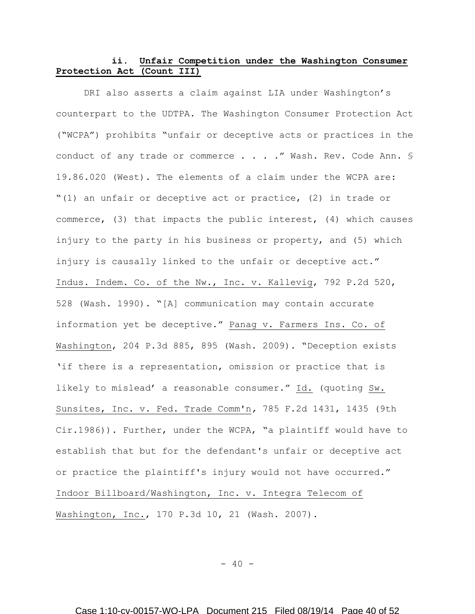# **ii. Unfair Competition under the Washington Consumer Protection Act (Count III)**

DRI also asserts a claim against LIA under Washington's counterpart to the UDTPA. The Washington Consumer Protection Act ("WCPA") prohibits "unfair or deceptive acts or practices in the conduct of any trade or commerce . . . ." Wash. Rev. Code Ann. § 19.86.020 (West). The elements of a claim under the WCPA are: "(1) an unfair or deceptive act or practice, (2) in trade or commerce, (3) that impacts the public interest, (4) which causes injury to the party in his business or property, and (5) which injury is causally linked to the unfair or deceptive act." Indus. Indem. Co. of the Nw., Inc. v. Kallevig, 792 P.2d 520, 528 (Wash. 1990). "[A] communication may contain accurate information yet be deceptive." Panag v. Farmers Ins. Co. of Washington, 204 P.3d 885, 895 (Wash. 2009). "Deception exists 'if there is a representation, omission or practice that is likely to mislead' a reasonable consumer." Id. (quoting Sw. Sunsites, Inc. v. Fed. Trade Comm'n*,* 785 F.2d 1431, 1435 (9th Cir.1986)). Further, under the WCPA, "a plaintiff would have to establish that but for the defendant's unfair or deceptive act or practice the plaintiff's injury would not have occurred." Indoor Billboard/Washington, Inc. v. Integra Telecom of Washington, Inc., 170 P.3d 10, 21 (Wash. 2007).

 $- 40 -$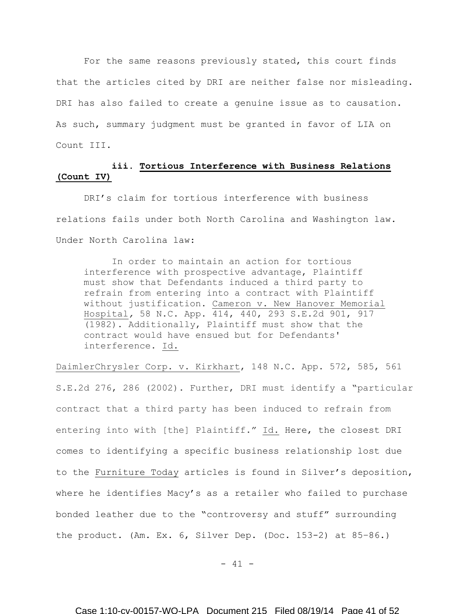For the same reasons previously stated, this court finds that the articles cited by DRI are neither false nor misleading. DRI has also failed to create a genuine issue as to causation. As such, summary judgment must be granted in favor of LIA on Count III.

# **iii. Tortious Interference with Business Relations (Count IV)**

DRI's claim for tortious interference with business relations fails under both North Carolina and Washington law. Under North Carolina law:

In order to maintain an action for tortious interference with prospective advantage, Plaintiff must show that Defendants induced a third party to refrain from entering into a contract with Plaintiff without justification. Cameron v. New Hanover Memorial Hospital*,* 58 N.C. App. 414, 440, 293 S.E.2d 901, 917 (1982). Additionally, Plaintiff must show that the contract would have ensued but for Defendants' interference. Id.

DaimlerChrysler Corp. v. Kirkhart, 148 N.C. App. 572, 585, 561 S.E.2d 276, 286 (2002). Further, DRI must identify a "particular contract that a third party has been induced to refrain from entering into with [the] Plaintiff." Id. Here, the closest DRI comes to identifying a specific business relationship lost due to the Furniture Today articles is found in Silver's deposition, where he identifies Macy's as a retailer who failed to purchase bonded leather due to the "controversy and stuff" surrounding the product. (Am. Ex. 6, Silver Dep. (Doc. 153-2) at 85–86.)

 $- 41 -$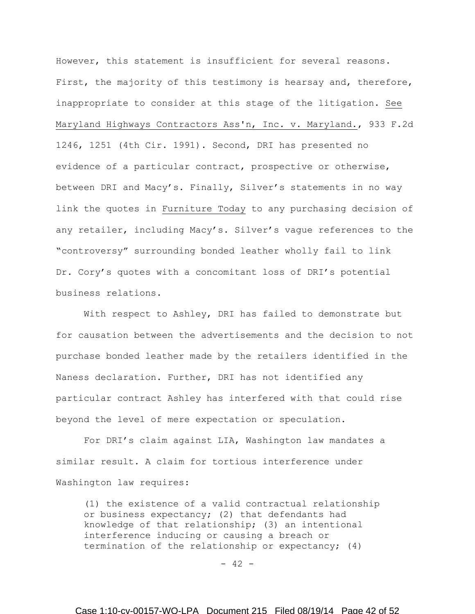However, this statement is insufficient for several reasons. First, the majority of this testimony is hearsay and, therefore, inappropriate to consider at this stage of the litigation. See Maryland Highways Contractors Ass'n, Inc. v. Maryland., 933 F.2d 1246, 1251 (4th Cir. 1991). Second, DRI has presented no evidence of a particular contract, prospective or otherwise, between DRI and Macy's. Finally, Silver's statements in no way link the quotes in Furniture Today to any purchasing decision of any retailer, including Macy's. Silver's vague references to the "controversy" surrounding bonded leather wholly fail to link Dr. Cory's quotes with a concomitant loss of DRI's potential business relations.

With respect to Ashley, DRI has failed to demonstrate but for causation between the advertisements and the decision to not purchase bonded leather made by the retailers identified in the Naness declaration. Further, DRI has not identified any particular contract Ashley has interfered with that could rise beyond the level of mere expectation or speculation.

For DRI's claim against LIA, Washington law mandates a similar result. A claim for tortious interference under Washington law requires:

(1) the existence of a valid contractual relationship or business expectancy; (2) that defendants had knowledge of that relationship; (3) an intentional interference inducing or causing a breach or termination of the relationship or expectancy; (4)

 $- 42 -$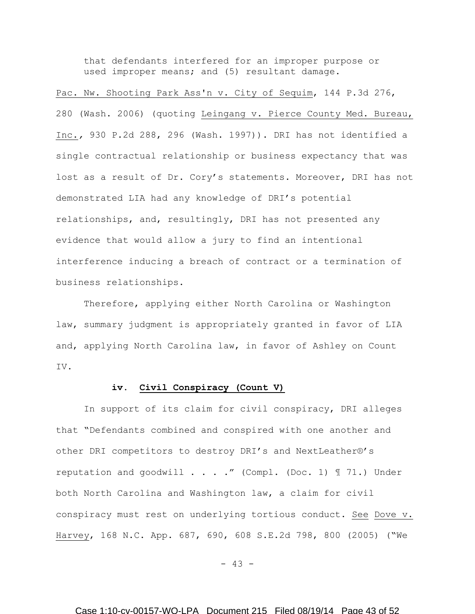that defendants interfered for an improper purpose or used improper means; and (5) resultant damage.

Pac. Nw. Shooting Park Ass'n v. City of Sequim, 144 P.3d 276, 280 (Wash. 2006) (quoting Leingang v. Pierce County Med. Bureau, Inc.*,* 930 P.2d 288, 296 (Wash. 1997)). DRI has not identified a single contractual relationship or business expectancy that was lost as a result of Dr. Cory's statements. Moreover, DRI has not demonstrated LIA had any knowledge of DRI's potential relationships, and, resultingly, DRI has not presented any evidence that would allow a jury to find an intentional interference inducing a breach of contract or a termination of business relationships.

Therefore, applying either North Carolina or Washington law, summary judgment is appropriately granted in favor of LIA and, applying North Carolina law, in favor of Ashley on Count IV.

### **iv. Civil Conspiracy (Count V)**

In support of its claim for civil conspiracy, DRI alleges that "Defendants combined and conspired with one another and other DRI competitors to destroy DRI's and NextLeather®'s reputation and goodwill  $\ldots$  ." (Compl. (Doc. 1)  $\text{\textsterling}$  71.) Under both North Carolina and Washington law, a claim for civil conspiracy must rest on underlying tortious conduct. See Dove v. Harvey, 168 N.C. App. 687, 690, 608 S.E.2d 798, 800 (2005) ("We

 $- 43 -$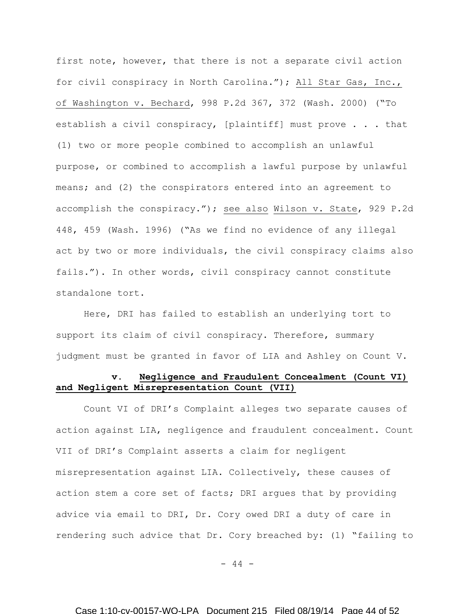first note, however, that there is not a separate civil action for civil conspiracy in North Carolina."); All Star Gas, Inc., of Washington v. Bechard, 998 P.2d 367, 372 (Wash. 2000) ("To establish a civil conspiracy, [plaintiff] must prove . . . that (1) two or more people combined to accomplish an unlawful purpose, or combined to accomplish a lawful purpose by unlawful means; and (2) the conspirators entered into an agreement to accomplish the conspiracy."); see also Wilson v. State, 929 P.2d 448, 459 (Wash. 1996) ("As we find no evidence of any illegal act by two or more individuals, the civil conspiracy claims also fails."). In other words, civil conspiracy cannot constitute standalone tort.

Here, DRI has failed to establish an underlying tort to support its claim of civil conspiracy. Therefore, summary judgment must be granted in favor of LIA and Ashley on Count V.

## **v. Negligence and Fraudulent Concealment (Count VI) and Negligent Misrepresentation Count (VII)**

Count VI of DRI's Complaint alleges two separate causes of action against LIA, negligence and fraudulent concealment. Count VII of DRI's Complaint asserts a claim for negligent misrepresentation against LIA. Collectively, these causes of action stem a core set of facts; DRI argues that by providing advice via email to DRI, Dr. Cory owed DRI a duty of care in rendering such advice that Dr. Cory breached by: (1) "failing to

 $- 44 -$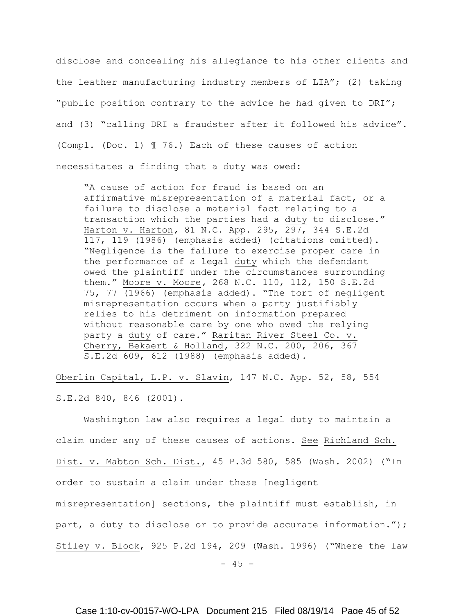disclose and concealing his allegiance to his other clients and the leather manufacturing industry members of LIA"; (2) taking "public position contrary to the advice he had given to DRI"; and (3) "calling DRI a fraudster after it followed his advice". (Compl. (Doc. 1) ¶ 76.) Each of these causes of action necessitates a finding that a duty was owed:

"A cause of action for fraud is based on an affirmative misrepresentation of a material fact, or a failure to disclose a material fact relating to a transaction which the parties had a duty to disclose." Harton v. Harton*,* 81 N.C. App. 295, 297, 344 S.E.2d 117, 119 (1986) (emphasis added) (citations omitted). "Negligence is the failure to exercise proper care in the performance of a legal duty which the defendant owed the plaintiff under the circumstances surrounding them." Moore v. Moore*,* 268 N.C. 110, 112, 150 S.E.2d 75, 77 (1966) (emphasis added). "The tort of negligent misrepresentation occurs when a party justifiably relies to his detriment on information prepared without reasonable care by one who owed the relying party a duty of care." Raritan River Steel Co. v. Cherry, Bekaert & Holland*,* 322 N.C. 200, 206, 367 S.E.2d 609, 612 (1988) (emphasis added).

Oberlin Capital, L.P. v. Slavin, 147 N.C. App. 52, 58, 554 S.E.2d 840, 846 (2001).

Washington law also requires a legal duty to maintain a claim under any of these causes of actions. See Richland Sch. Dist. v. Mabton Sch. Dist., 45 P.3d 580, 585 (Wash. 2002) ("In order to sustain a claim under these [negligent misrepresentation] sections, the plaintiff must establish, in part, a duty to disclose or to provide accurate information."); Stiley v. Block, 925 P.2d 194, 209 (Wash. 1996) ("Where the law

 $- 45 -$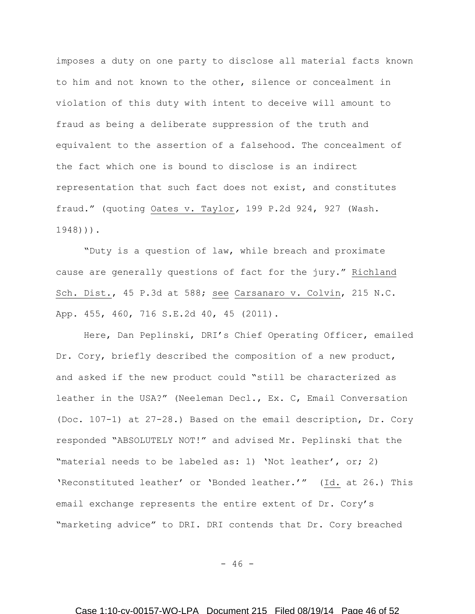imposes a duty on one party to disclose all material facts known to him and not known to the other, silence or concealment in violation of this duty with intent to deceive will amount to fraud as being a deliberate suppression of the truth and equivalent to the assertion of a falsehood. The concealment of the fact which one is bound to disclose is an indirect representation that such fact does not exist, and constitutes fraud." (quoting Oates v. Taylor*,* [199 P.2d 924, 927 \(Wash.](https://a.next.westlaw.com/Link/Document/FullText?findType=Y&serNum=1948103384&pubNum=661&originationContext=document&transitionType=DocumentItem&contextData=(sc.Keycite))  [1948\)\)](https://a.next.westlaw.com/Link/Document/FullText?findType=Y&serNum=1948103384&pubNum=661&originationContext=document&transitionType=DocumentItem&contextData=(sc.Keycite))).

"Duty is a question of law, while breach and proximate cause are generally questions of fact for the jury." Richland Sch. Dist., 45 P.3d at 588; see Carsanaro v. Colvin, 215 N.C. App. 455, 460, 716 S.E.2d 40, 45 (2011).

Here, Dan Peplinski, DRI's Chief Operating Officer, emailed Dr. Cory, briefly described the composition of a new product, and asked if the new product could "still be characterized as leather in the USA?" (Neeleman Decl., Ex. C, Email Conversation (Doc. 107-1) at 27-28.) Based on the email description, Dr. Cory responded "ABSOLUTELY NOT!" and advised Mr. Peplinski that the "material needs to be labeled as: 1) 'Not leather', or; 2) 'Reconstituted leather' or 'Bonded leather.'" (Id. at 26.) This email exchange represents the entire extent of Dr. Cory's "marketing advice" to DRI. DRI contends that Dr. Cory breached

 $- 46 -$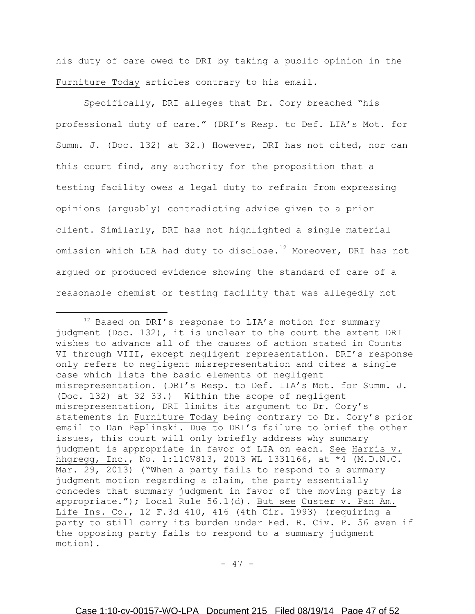his duty of care owed to DRI by taking a public opinion in the Furniture Today articles contrary to his email.

Specifically, DRI alleges that Dr. Cory breached "his professional duty of care." (DRI's Resp. to Def. LIA's Mot. for Summ. J. (Doc. 132) at 32.) However, DRI has not cited, nor can this court find, any authority for the proposition that a testing facility owes a legal duty to refrain from expressing opinions (arguably) contradicting advice given to a prior client. Similarly, DRI has not highlighted a single material omission which LIA had duty to disclose.<sup>12</sup> Moreover, DRI has not argued or produced evidence showing the standard of care of a reasonable chemist or testing facility that was allegedly not

l

 $- 47 -$ 

<sup>&</sup>lt;sup>12</sup> Based on DRI's response to LIA's motion for summary judgment (Doc. 132), it is unclear to the court the extent DRI wishes to advance all of the causes of action stated in Counts VI through VIII, except negligent representation. DRI's response only refers to negligent misrepresentation and cites a single case which lists the basic elements of negligent misrepresentation. (DRI's Resp. to Def. LIA's Mot. for Summ. J. (Doc. 132) at 32–33.) Within the scope of negligent misrepresentation, DRI limits its argument to Dr. Cory's statements in Furniture Today being contrary to Dr. Cory's prior email to Dan Peplinski. Due to DRI's failure to brief the other issues, this court will only briefly address why summary judgment is appropriate in favor of LIA on each. See Harris v. hhgregg, Inc., No. 1:11CV813, 2013 WL 1331166, at \*4 (M.D.N.C. Mar. 29, 2013) ("When a party fails to respond to a summary judgment motion regarding a claim, the party essentially concedes that summary judgment in favor of the moving party is appropriate."); Local Rule 56.1(d). But see Custer v. Pan Am. Life Ins. Co., 12 F.3d 410, 416 (4th Cir. 1993) (requiring a party to still carry its burden under Fed. R. Civ. P. 56 even if the opposing party fails to respond to a summary judgment motion).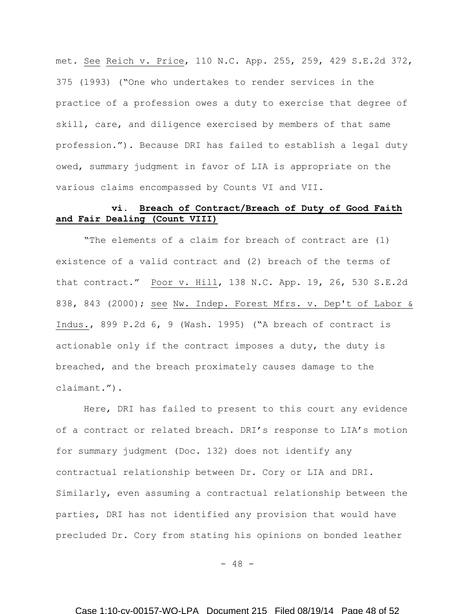met. See Reich v. Price, 110 N.C. App. 255, 259, 429 S.E.2d 372, 375 (1993) ("One who undertakes to render services in the practice of a profession owes a duty to exercise that degree of skill, care, and diligence exercised by members of that same profession."). Because DRI has failed to establish a legal duty owed, summary judgment in favor of LIA is appropriate on the various claims encompassed by Counts VI and VII.

## **vi. Breach of Contract/Breach of Duty of Good Faith and Fair Dealing (Count VIII)**

"The elements of a claim for breach of contract are (1) existence of a valid contract and (2) breach of the terms of that contract." Poor v. Hill, 138 N.C. App. 19, 26, 530 S.E.2d 838, 843 (2000); see Nw. Indep. Forest Mfrs. v. Dep't of Labor & Indus., 899 P.2d 6, 9 (Wash. 1995) ("A breach of contract is actionable only if the contract imposes a duty, the duty is breached, and the breach proximately causes damage to the claimant.").

Here, DRI has failed to present to this court any evidence of a contract or related breach. DRI's response to LIA's motion for summary judgment (Doc. 132) does not identify any contractual relationship between Dr. Cory or LIA and DRI. Similarly, even assuming a contractual relationship between the parties, DRI has not identified any provision that would have precluded Dr. Cory from stating his opinions on bonded leather

 $- 48 -$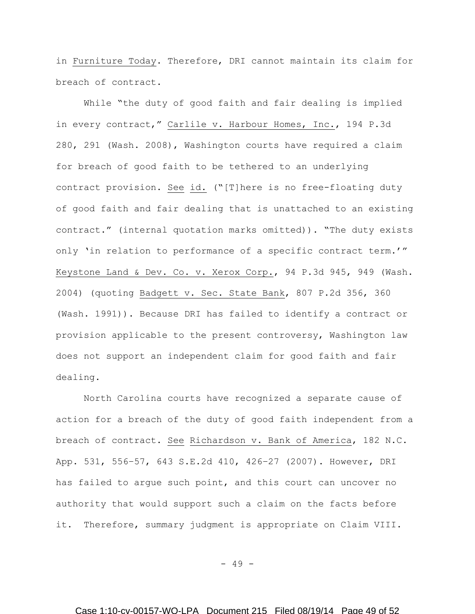in Furniture Today. Therefore, DRI cannot maintain its claim for breach of contract.

While "the duty of good faith and fair dealing is implied in every contract," Carlile v. Harbour Homes, Inc., 194 P.3d 280, 291 (Wash. 2008), Washington courts have required a claim for breach of good faith to be tethered to an underlying contract provision. See id. ("[T]here is no free-floating duty of good faith and fair dealing that is unattached to an existing contract." (internal quotation marks omitted)). "The duty exists only 'in relation to performance of a specific contract term.'" Keystone Land & Dev. Co. v. Xerox Corp., 94 P.3d 945, 949 (Wash. 2004) (quoting Badgett v. Sec. State Bank, 807 P.2d 356, 360 (Wash. 1991)). Because DRI has failed to identify a contract or provision applicable to the present controversy, Washington law does not support an independent claim for good faith and fair dealing.

North Carolina courts have recognized a separate cause of action for a breach of the duty of good faith independent from a breach of contract. See Richardson v. Bank of America, 182 N.C. App. 531, 556–57, 643 S.E.2d 410, 426–27 (2007). However, DRI has failed to argue such point, and this court can uncover no authority that would support such a claim on the facts before it. Therefore, summary judgment is appropriate on Claim VIII.

- 49 -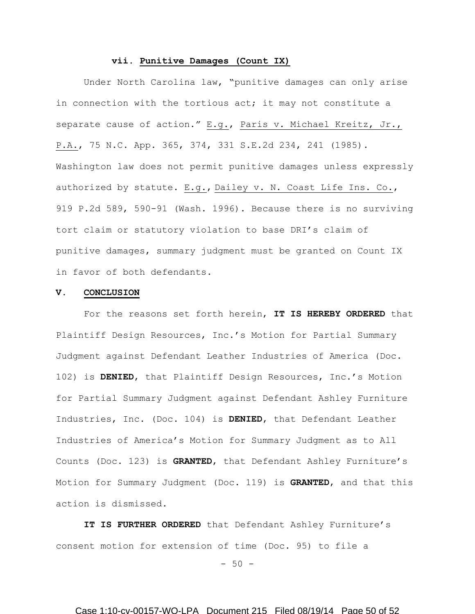# **vii. Punitive Damages (Count IX)**

Under North Carolina law, "punitive damages can only arise in connection with the tortious act; it may not constitute a separate cause of action." E.g., Paris v. Michael Kreitz, Jr., P.A., 75 N.C. App. 365, 374, 331 S.E.2d 234, 241 (1985). Washington law does not permit punitive damages unless expressly authorized by statute. E.g., Dailey v. N. Coast Life Ins. Co., 919 P.2d 589, 590-91 (Wash. 1996). Because there is no surviving tort claim or statutory violation to base DRI's claim of punitive damages, summary judgment must be granted on Count IX in favor of both defendants.

#### **V. CONCLUSION**

For the reasons set forth herein, **IT IS HEREBY ORDERED** that Plaintiff Design Resources, Inc.'s Motion for Partial Summary Judgment against Defendant Leather Industries of America (Doc. 102) is **DENIED**, that Plaintiff Design Resources, Inc.'s Motion for Partial Summary Judgment against Defendant Ashley Furniture Industries, Inc. (Doc. 104) is **DENIED**, that Defendant Leather Industries of America's Motion for Summary Judgment as to All Counts (Doc. 123) is **GRANTED**, that Defendant Ashley Furniture's Motion for Summary Judgment (Doc. 119) is **GRANTED**, and that this action is dismissed.

**IT IS FURTHER ORDERED** that Defendant Ashley Furniture's consent motion for extension of time (Doc. 95) to file a

 $-50 -$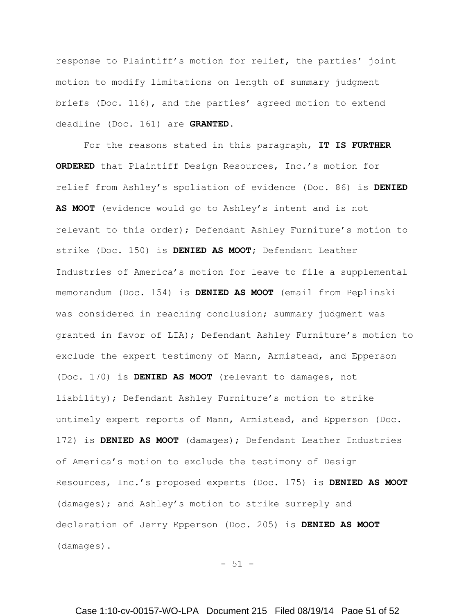response to Plaintiff's motion for relief, the parties' joint motion to modify limitations on length of summary judgment briefs (Doc. 116), and the parties' agreed motion to extend deadline (Doc. 161) are **GRANTED.**

For the reasons stated in this paragraph, **IT IS FURTHER ORDERED** that Plaintiff Design Resources, Inc.'s motion for relief from Ashley's spoliation of evidence (Doc. 86) is **DENIED AS MOOT** (evidence would go to Ashley's intent and is not relevant to this order); Defendant Ashley Furniture's motion to strike (Doc. 150) is **DENIED AS MOOT;** Defendant Leather Industries of America's motion for leave to file a supplemental memorandum (Doc. 154) is **DENIED AS MOOT** (email from Peplinski was considered in reaching conclusion; summary judgment was granted in favor of LIA); Defendant Ashley Furniture's motion to exclude the expert testimony of Mann, Armistead, and Epperson (Doc. 170) is **DENIED AS MOOT** (relevant to damages, not liability); Defendant Ashley Furniture's motion to strike untimely expert reports of Mann, Armistead, and Epperson (Doc. 172) is **DENIED AS MOOT** (damages); Defendant Leather Industries of America's motion to exclude the testimony of Design Resources, Inc.'s proposed experts (Doc. 175) is **DENIED AS MOOT**  (damages); and Ashley's motion to strike surreply and declaration of Jerry Epperson (Doc. 205) is **DENIED AS MOOT** (damages).

 $- 51 -$